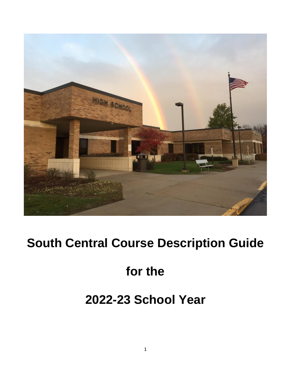

# **South Central Course Description Guide**

# **for the**

# **2022-23 School Year**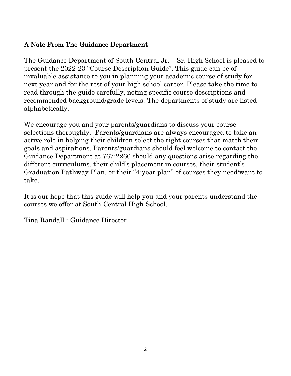### A Note From The Guidance Department

The Guidance Department of South Central Jr. – Sr. High School is pleased to present the 2022-23 "Course Description Guide". This guide can be of invaluable assistance to you in planning your academic course of study for next year and for the rest of your high school career. Please take the time to read through the guide carefully, noting specific course descriptions and recommended background/grade levels. The departments of study are listed alphabetically.

We encourage you and your parents/guardians to discuss your course selections thoroughly. Parents/guardians are always encouraged to take an active role in helping their children select the right courses that match their goals and aspirations. Parents/guardians should feel welcome to contact the Guidance Department at 767-2266 should any questions arise regarding the different curriculums, their child's placement in courses, their student's Graduation Pathway Plan, or their "4-year plan" of courses they need/want to take.

It is our hope that this guide will help you and your parents understand the courses we offer at South Central High School.

Tina Randall - Guidance Director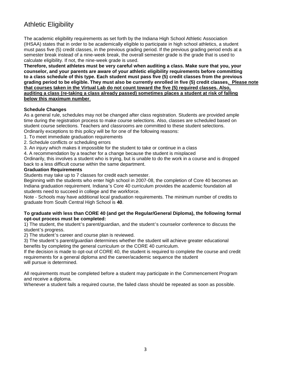### Athletic Eligibility

The academic eligibility requirements as set forth by the Indiana High School Athletic Association (IHSAA) states that in order to be academically eligible to participate in high school athletics, a student must pass five (5) credit classes, in the previous grading period. If the previous grading period ends at a semester break instead of a nine-week break, the overall semester grade is the grade that is used to calculate eligibility. If not, the nine-week grade is used.

**Therefore, student athletes must be very careful when auditing a class. Make sure that you, your counselor, and your parents are aware of your athletic eligibility requirements before committing to a class schedule of this type. Each student must pass five (5) credit classes from the previous grading period to be eligible. They must also be currently enrolled in five (5) credit classes. Please note that courses taken in the Virtual Lab do not count toward the five (5) required classes. Also, auditing a class (re-taking a class already passed) sometimes places a student at risk of falling below this maximum number**.

### **Schedule Changes**

As a general rule, schedules may not be changed after class registration. Students are provided ample time during the registration process to make course selections. Also, classes are scheduled based on student course selections. Teachers and classrooms are committed to these student selections. Ordinarily exceptions to this policy will be for one of the following reasons:

- 1. To meet immediate graduation requirements
- 2. Schedule conflicts or scheduling errors
- 3. An injury which makes it impossible for the student to take or continue in a class
- 4. A recommendation by a teacher for a change because the student is misplaced

Ordinarily, this involves a student who is trying, but is unable to do the work in a course and is dropped back to a less difficult course within the same department.

### **Graduation Requirements**

Students may take up to 7 classes for credit each semester.

Beginning with the students who enter high school in 2007-08, the completion of Core 40 becomes an Indiana graduation requirement. Indiana's Core 40 curriculum provides the academic foundation all students need to succeed in college and the workforce.

Note - Schools may have additional local graduation requirements. The minimum number of credits to graduate from South Central High School is **40**.

#### **To graduate with less than CORE 40 (and get the Regular/General Diploma), the following formal opt-out process must be completed:**

1) The student, the student's parent/guardian, and the student's counselor conference to discuss the student's progress.

2) The student's career and course plan is reviewed.

3) The student's parent/guardian determines whether the student will achieve greater educational benefits by completing the general curriculum or the CORE 40 curriculum.

If the decision is made to opt-out of CORE 40, the student is required to complete the course and credit requirements for a general diploma and the career/academic sequence the student will pursue is determined.

All requirements must be completed before a student may participate in the Commencement Program and receive a diploma.

Whenever a student fails a required course, the failed class should be repeated as soon as possible.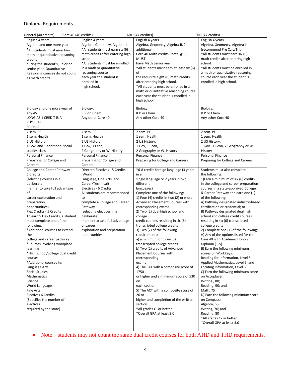### Diploma Requirements

| AHD (47 creditrs)<br>General (40 credits)<br>Core 40 (40 credits)<br>THD (47 credits) |                                           |                                          |                                               |  |
|---------------------------------------------------------------------------------------|-------------------------------------------|------------------------------------------|-----------------------------------------------|--|
| English 4 years                                                                       | English 4 years                           | English 4 years                          | English 4 years                               |  |
| Algebra and one more year                                                             | Algebra, Geometry, Algebra II             | Algebra, Geometry, Algebra II, 2         | Algebra, Geometry, Algebra II                 |  |
| *All students must earn two                                                           | *All students must earn six (6)           | additional                               | (recommend Pre Calc/Trig)                     |  |
| math or quantitative reasoning                                                        | math credits after entering high          | Core 40 Math credits-note @ SC           | *All students must earn six (6)               |  |
| credits                                                                               | school.                                   | <b>MUST</b>                              | math credits after entering high              |  |
| during the student's junior or                                                        | *All students must be enrolled            | have Math Senior year                    | school.                                       |  |
| senior year. Quantitative                                                             | in a math or quantitative                 | *All students must earn at least six (6) | *All students must be enrolled in             |  |
| Reasoning courses do not count                                                        | reasoning course                          | of                                       | a math or quantitative reasoning              |  |
| as math credits.                                                                      | each year the student is                  | the requisite eight (8) math credits     | course each year the student is               |  |
|                                                                                       | enrolled in                               | after entering high school.              | enrolled in high school.                      |  |
|                                                                                       | high school.                              | *All students must be enrolled in a      |                                               |  |
|                                                                                       |                                           | math or quantitative reasoning course    |                                               |  |
|                                                                                       |                                           | each year the student is enrolled in     |                                               |  |
|                                                                                       |                                           | high school.                             |                                               |  |
| Biology and one more year of                                                          | Biology,                                  | <b>Biology</b>                           | Biology,                                      |  |
| any AS                                                                                | ICP or Chem                               | ICP or Chem                              | ICP or Chem                                   |  |
| LONG AS 1 CREDIT IS A                                                                 | Any other Core 40                         | Any other Core 40                        | Any other Core 40                             |  |
| PHYSICAL                                                                              |                                           |                                          |                                               |  |
| <b>SCIENCE</b>                                                                        |                                           |                                          |                                               |  |
| 2 sem. PE                                                                             | 2 sem. PE                                 | 2 sem. PE                                | 2 sem. PE                                     |  |
| 1 sem. Health                                                                         | 1 sem. Health                             | 1 sem. Health                            | 1 sem. Health                                 |  |
| 2 US History                                                                          | 2 US History                              | 2 US History,                            | 2 US History,                                 |  |
| 1 Gov. and 1 additional social                                                        | 1 Gov, 1 Econ,                            | 1 Gov, 1 Econ,                           | 1 Gov., 1 Econ, 2 Geography or W.             |  |
| studies class                                                                         | 2 Geography or W. History                 | 2 Geography or W. History                | History                                       |  |
| Personal Finance                                                                      | Personal Finance                          | <b>Personal Finance</b>                  | Personal Finance                              |  |
| Preparing for College and                                                             | Preparing for College and                 | Preparing for College and Careers        | Preparing for College and Careers             |  |
| Careers<br><b>College and Career Pathway</b>                                          | Careers<br>Directed Electives - 5 Credits | *6-8 credits foreign language (3 years   |                                               |  |
| 6 Credits                                                                             | (World                                    | in a                                     | Students must also complete<br>the following: |  |
| (selecting courses in a                                                               | Language, Fine Arts, and                  | single language or 2 years in two        | 1) Earn a minimum of six (6) credits          |  |
| deliberate                                                                            | Career/Technical)                         | different                                | in the college and career preparation         |  |
| manner to take full advantage                                                         | Electives - 6 Credits                     | languages)                               | courses in a state-approved College           |  |
| of                                                                                    | All students are recommended              | Complete one of the following:           | & Career Pathway and earn one (1)             |  |
| career exploration and                                                                | to                                        | 1) Four (4) credits in two (2) or more   | of the following:                             |  |
| preparation                                                                           | complete a College and Career             | Advanced Placement Courses with          | A) Pathway designated industry-based          |  |
| opportunities)                                                                        | Pathway                                   | corresponding exams                      | certification or credential; or               |  |
| Flex Credits - 5 Credits                                                              | (selecting electives in a                 | 2) Two (2) dual high school and          | B) Pathway designated dual high               |  |
| To earn 5 Flex Credits, a student                                                     | deliberate                                | college                                  | school and college credit courses             |  |
| must complete one of the                                                              | manner) to take full advantage            | credit courses resulting in six (6)      | resulting in six (6) transcripted             |  |
| following:                                                                            | of career                                 | transcripted college credits             | college credits                               |  |
| *Additional courses to extend                                                         | exploration and preparation               | 3) Two (2) of the following              | 2) Complete one (1) of the following:         |  |
| the                                                                                   | opportunities.                            | requirements:                            | A) Any of the options listed for the          |  |
| college and career pathway                                                            |                                           | a) a minimum of three (3)                | Core 40 with Academic Honors                  |  |
| *Courses involving workplace                                                          |                                           | transcripted college credits             | Diploma (1-5)                                 |  |
| learning                                                                              |                                           | b) Two (2) credits of Advanced           | B) Earn the following minimum                 |  |
| *High school/college dual credit                                                      |                                           | <b>Placement Courses with</b>            | scores on WorkKeys:                           |  |
| courses                                                                               |                                           | corresponding                            | Reading for Information, Level 6              |  |
| *Additional courses in:                                                               |                                           | exams                                    | Applied Mathematics, Level 6; and             |  |
| Language Arts                                                                         |                                           | 4) The SAT with a composite score of     | Locating Information, Level 5                 |  |
| Social Studies                                                                        |                                           | 1750                                     | C) Earn the following minimum score           |  |
| Mathematics                                                                           |                                           | or higher and a minimum score of 530     | on Accuplacer:                                |  |
| Science                                                                               |                                           | on<br>each section                       | Writing, 80;<br>Reading, 90; and              |  |
| World Language<br>Fine Arts                                                           |                                           | 5) The ACT with a composite score of     | Math, 75                                      |  |
| <b>Electives 6 Credits</b>                                                            |                                           | 26 or                                    | D) Earn the following minimum score           |  |
| (Specifies the number of                                                              |                                           | higher and completion of the written     | on Compass:                                   |  |
| electives                                                                             |                                           | section                                  | Algebra, 66;                                  |  |
| required by the state)                                                                |                                           | *All grades C- or better                 | Writing, 70; and                              |  |
|                                                                                       |                                           | *Overall GPA at least 3.0                | Reading, 80                                   |  |
|                                                                                       |                                           |                                          | *All grades C- or better                      |  |
|                                                                                       |                                           |                                          | *Overall GPA at least 3.0                     |  |
|                                                                                       |                                           |                                          |                                               |  |

• Note – students may not count the same dual credit courses for both AHD and THD requirements.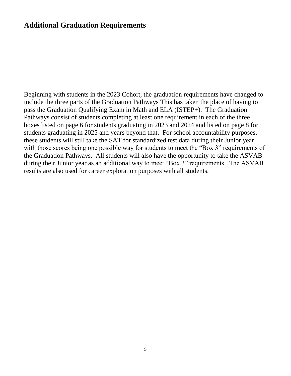### **Additional Graduation Requirements**

Beginning with students in the 2023 Cohort, the graduation requirements have changed to include the three parts of the Graduation Pathways This has taken the place of having to pass the Graduation Qualifying Exam in Math and ELA (ISTEP+). The Graduation Pathways consist of students completing at least one requirement in each of the three boxes listed on page 6 for students graduating in 2023 and 2024 and listed on page 8 for students graduating in 2025 and years beyond that. For school accountability purposes, these students will still take the SAT for standardized test data during their Junior year, with those scores being one possible way for students to meet the "Box 3" requirements of the Graduation Pathways. All students will also have the opportunity to take the ASVAB during their Junior year as an additional way to meet "Box 3" requirements. The ASVAB results are also used for career exploration purposes with all students.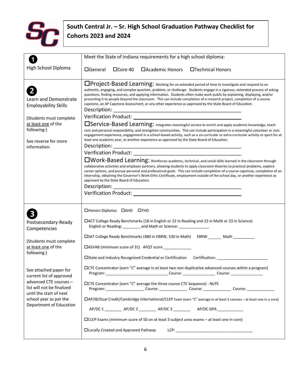

## **South Central Jr. – Sr. High School Graduation Pathway Checklist for Cohorts 2023 and 2024**

| Meet the State of Indiana requirements for a high school diploma:                                                                                                                                                                                                                                                                                                                                                                                                                                                                                                                                                                                                                                                                                                                                                                                                                                                                                                                                                                                                                                                                                                                                                                                                                                                                                                                                                                                                                                                                                                                                                                                                                                                                                                                                                                          |
|--------------------------------------------------------------------------------------------------------------------------------------------------------------------------------------------------------------------------------------------------------------------------------------------------------------------------------------------------------------------------------------------------------------------------------------------------------------------------------------------------------------------------------------------------------------------------------------------------------------------------------------------------------------------------------------------------------------------------------------------------------------------------------------------------------------------------------------------------------------------------------------------------------------------------------------------------------------------------------------------------------------------------------------------------------------------------------------------------------------------------------------------------------------------------------------------------------------------------------------------------------------------------------------------------------------------------------------------------------------------------------------------------------------------------------------------------------------------------------------------------------------------------------------------------------------------------------------------------------------------------------------------------------------------------------------------------------------------------------------------------------------------------------------------------------------------------------------------|
| $\Box$ General<br>$\Box$ Core 40<br>□ Academic Honors □ Technical Honors                                                                                                                                                                                                                                                                                                                                                                                                                                                                                                                                                                                                                                                                                                                                                                                                                                                                                                                                                                                                                                                                                                                                                                                                                                                                                                                                                                                                                                                                                                                                                                                                                                                                                                                                                                   |
| □Project-Based Learning: Working for an extended period of time to investigate and respond to an<br>authentic, engaging, and complex question, problem, or challenge. Students engage in a rigorous, extended process of asking<br>questions, finding resources, and applying information. Students often make work public by explaining, displaying, and/or<br>presenting it to people beyond the classroom. This can include completion of a research project, completion of a course<br>capstone, an AP Capstone Assessment, or any other experience as approved by the State Board of Education.<br>Description:<br><b>Independia Service-Based Learning:</b> Integrates meaningful service to enrich and apply academic knowledge, teach<br>civic and personal responsibility, and strengthen communities. This can include participation in a meaningful volunteer or civic<br>engagement experience, engagement in a school-based activity, such as a co-curricular or extra-curricular activity or sport for at<br>least one academic year, or another experience as approved by the State Board of Education.<br>Description:<br><b>IWork-Based Learning:</b> Reinforces academic, technical, and social skills learned in the classroom through<br>collaborative activities and employer partners, allowing students to apply classroom theories to practical problems, explore<br>career options, and pursue personal and professional goals. This can include completion of a course capstone, completion of an<br>internship, obtaining the Governor's Work Ethic Certificate, employment outside of the school day, or another experience as<br>approved by the State Board of Education.<br>Description:<br>Verification Product: Law Management Control of the Control of the Control of the Control of the Control of the |
| □Honors Diploma: □AHD □THD<br>□ ACT College Ready Benchmarks (18 in English or 22 in Reading and 22 in Math or 23 in Science)<br>English or Reading: _________ and Math or Science: _______________<br>□SAT College Ready Benchmarks (480 in EBRW, 530 in Math) EBRW _______ Math __________<br>□ASVAB (minimum score of 31) AFQT score _____________<br>□CTE Concentrator (earn "C" average in at least two non-duplicative advanced courses within a program)<br>□CTE Concentrator (earn "C" average the three course CTE Sequence) - NLPS<br>Program: ________________________Course: ___________________Course: _____________ Course: _______________<br>□AP/IB/Dual Credit/Cambridge International/CLEP Exam (earn "C" average in at least 3 courses - at least one in a core)<br>AP/DC 1 ____________ AP/DC 2 ___________ AP/DC 3 _____________ AP/DC GPA _____________<br>□CLEP Exams (minimum score of 50 on at least 3 subject area exams – at least one in core)<br>□Locally Created and Approved Pathway                                                                                                                                                                                                                                                                                                                                                                                                                                                                                                                                                                                                                                                                                                                                                                                                                        |
|                                                                                                                                                                                                                                                                                                                                                                                                                                                                                                                                                                                                                                                                                                                                                                                                                                                                                                                                                                                                                                                                                                                                                                                                                                                                                                                                                                                                                                                                                                                                                                                                                                                                                                                                                                                                                                            |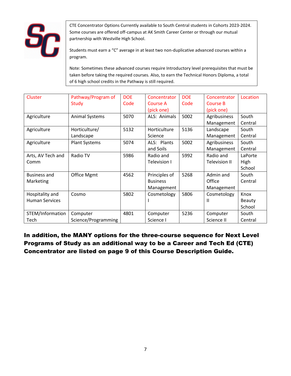

CTE Concentrator Options Currently available to South Central students in Cohorts 2023-2024. Some courses are offered off-campus at AK Smith Career Center or through our mutual partnership with Westville High School.

Students must earn a "C" average in at least two non-duplicative advanced courses within a program.

Note: Sometimes these advanced courses require Introductory level prerequisites that must be taken before taking the required courses. Also, to earn the Technical Honors Diploma, a total of 6 high school credits in the Pathway is still required.

| Cluster               | Pathway/Program of    | <b>DOE</b> | Concentrator    | <b>DOE</b> | Concentrator         | Location |
|-----------------------|-----------------------|------------|-----------------|------------|----------------------|----------|
|                       | <b>Study</b>          | Code       | Course A        | Code       | <b>Course B</b>      |          |
|                       |                       |            | (pick one)      |            | (pick one)           |          |
| Agriculture           | <b>Animal Systems</b> | 5070       | ALS: Animals    | 5002       | Agribusiness         | South    |
|                       |                       |            |                 |            | Management           | Central  |
| Agriculture           | Horticulture/         | 5132       | Horticulture    | 5136       | Landscape            | South    |
|                       | Landscape             |            | Science         |            | Management           | Central  |
| Agriculture           | <b>Plant Systems</b>  | 5074       | ALS: Plants     | 5002       | Agribusiness         | South    |
|                       |                       |            | and Soils       |            | Management           | Central  |
| Arts, AV Tech and     | Radio TV              | 5986       | Radio and       | 5992       | Radio and            | LaPorte  |
| Comm                  |                       |            | Television I    |            | <b>Television II</b> | High     |
|                       |                       |            |                 |            |                      | School   |
| <b>Business and</b>   | <b>Office Mgmt</b>    | 4562       | Principles of   | 5268       | Admin and            | South    |
| Marketing             |                       |            | <b>Business</b> |            | Office               | Central  |
|                       |                       |            | Management      |            | Management           |          |
| Hospitality and       | Cosmo                 | 5802       | Cosmetology     | 5806       | Cosmetology          | Knox     |
| <b>Human Services</b> |                       |            |                 |            | $\mathsf{I}$         | Beauty   |
|                       |                       |            |                 |            |                      | School   |
| STEM/Information      | Computer              | 4801       | Computer        | 5236       | Computer             | South    |
| Tech                  | Science/Programming   |            | Science I       |            | Science II           | Central  |

In addition, the MANY options for the three-course sequence for Next Level Programs of Study as an additional way to be a Career and Tech Ed (CTE) Concentrator are listed on page 9 of this Course Description Guide.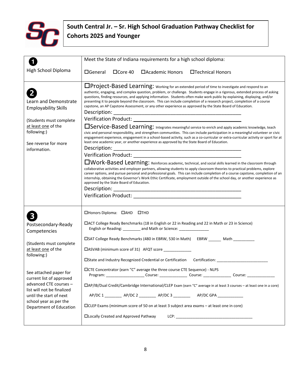

## **South Central Jr. – Sr. High School Graduation Pathway Checklist for Cohorts 2025 and Younger**

|                                                                                                                                                                                            | Meet the State of Indiana requirements for a high school diploma:                                                                                                                                                                                                                                                                                                                                                                                                                                                                                                                                                                                                                                                                                                                                                                                                                                                                                                                                                                                                                                                                                                                                                                                                                                                                                                                                                                                                                                                                                                                                                                                                          |
|--------------------------------------------------------------------------------------------------------------------------------------------------------------------------------------------|----------------------------------------------------------------------------------------------------------------------------------------------------------------------------------------------------------------------------------------------------------------------------------------------------------------------------------------------------------------------------------------------------------------------------------------------------------------------------------------------------------------------------------------------------------------------------------------------------------------------------------------------------------------------------------------------------------------------------------------------------------------------------------------------------------------------------------------------------------------------------------------------------------------------------------------------------------------------------------------------------------------------------------------------------------------------------------------------------------------------------------------------------------------------------------------------------------------------------------------------------------------------------------------------------------------------------------------------------------------------------------------------------------------------------------------------------------------------------------------------------------------------------------------------------------------------------------------------------------------------------------------------------------------------------|
| High School Diploma                                                                                                                                                                        | $\Box$ General<br>$\Box$ Core 40<br>$\Box$ Academic Honors<br>□Technical Honors                                                                                                                                                                                                                                                                                                                                                                                                                                                                                                                                                                                                                                                                                                                                                                                                                                                                                                                                                                                                                                                                                                                                                                                                                                                                                                                                                                                                                                                                                                                                                                                            |
| Learn and Demonstrate<br><b>Employability Skills</b><br>(Students must complete<br>at least one of the<br>following:)<br>See reverse for more<br>information.                              | □Project-Based Learning: working for an extended period of time to investigate and respond to an<br>authentic, engaging, and complex question, problem, or challenge. Students engage in a rigorous, extended process of asking<br>questions, finding resources, and applying information. Students often make work public by explaining, displaying, and/or<br>presenting it to people beyond the classroom. This can include completion of a research project, completion of a course<br>capstone, an AP Capstone Assessment, or any other experience as approved by the State Board of Education.<br><b>Integrats and Service-Based Learning:</b> Integrates meaningful service to enrich and apply academic knowledge, teach<br>civic and personal responsibility, and strengthen communities. This can include participation in a meaningful volunteer or civic<br>engagement experience, engagement in a school-based activity, such as a co-curricular or extra-curricular activity or sport for at<br>least one academic year, or another experience as approved by the State Board of Education.<br><b>IWork-Based Learning:</b> Reinforces academic, technical, and social skills learned in the classroom through<br>collaborative activities and employer partners, allowing students to apply classroom theories to practical problems, explore<br>career options, and pursue personal and professional goals. This can include completion of a course capstone, completion of an<br>internship, obtaining the Governor's Work Ethic Certificate, employment outside of the school day, or another experience as<br>approved by the State Board of Education. |
| Postsecondary-Ready<br>Competencies<br>(Students must complete<br>at least one of the<br>following:)                                                                                       | □Honors Diploma: □AHD □THD<br>□ACT College Ready Benchmarks (18 in English or 22 in Reading and 22 in Math or 23 in Science)<br>English or Reading: _________ and Math or Science: _______________<br>DSAT College Ready Benchmarks (480 in EBRW, 530 in Math) EBRW ______ Math _______<br>□ASVAB (minimum score of 31) AFQT score ____________<br>□State and Industry Recognized Credential or Certification Certification: ____________                                                                                                                                                                                                                                                                                                                                                                                                                                                                                                                                                                                                                                                                                                                                                                                                                                                                                                                                                                                                                                                                                                                                                                                                                                  |
| See attached paper for<br>current list of approved<br>advanced CTE courses -<br>list will not be finalized<br>until the start of next<br>school year as per the<br>Department of Education | □CTE Concentrator (earn "C" average the three course CTE Sequence) - NLPS<br>Program: ___________________________Course: _______________________Course: ________________________<br>□AP/IB/Dual Credit/Cambridge International/CLEP Exam (earn "C" average in at least 3 courses – at least one in a core)<br>AP/DC 1 ____________ AP/DC 2 ___________ AP/DC 3 _____________ AP/DC GPA _____________<br>□CLEP Exams (minimum score of 50 on at least 3 subject area exams – at least one in core)<br><b>CLocally Created and Approved Pathway</b>                                                                                                                                                                                                                                                                                                                                                                                                                                                                                                                                                                                                                                                                                                                                                                                                                                                                                                                                                                                                                                                                                                                          |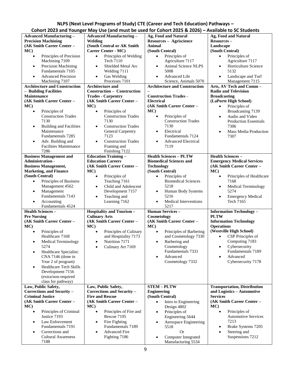### **NLPS (Next Level Programs of Study) CTE (Career and Tech Education) Pathways – Cohort 2023 and Younger May Use (and must be used for Cohort 2025 & 2026) – Available to SC Students**

| <b>Advanced Manufacturing -</b>             | <b>Advanced Manufacturing -</b>         | Ag, Food and Natural                    | Ag, Food and Natural                    |
|---------------------------------------------|-----------------------------------------|-----------------------------------------|-----------------------------------------|
| <b>Precision Machining</b>                  | Welding                                 | Resources - Agriscience                 | Resources-                              |
| (AK Smith Career Center -                   | (South Central or AK Smith              | <b>Animal</b>                           | Landscape                               |
| MC)                                         | Career Center - MC)                     | (South Central)                         | (South Central)                         |
| Principles of Precision<br>$\bullet$        | Principles of Welding<br>$\bullet$      | Principles of<br>$\bullet$              | Principles of<br>$\bullet$              |
| Machining 7109                              | Tech 7110                               | Agriculture 7117                        | Agriculture 7117                        |
|                                             |                                         |                                         |                                         |
| Precision Machining<br>$\bullet$            | Shielded Metal Arc<br>$\bullet$         | Animal Science NLPS<br>$\bullet$        | Horticulture Science<br>$\bullet$       |
| Fundamentals 7105                           | Welding 7111                            | 5008                                    | 5132                                    |
| <b>Advanced Precision</b><br>$\bullet$      | $\bullet$<br>Gas Welding                | Advanced Life<br>$\bullet$              | Landscape and Turf<br>$\bullet$         |
| Machining 7107                              | Processes 7101                          | Science, Animals 5070                   | Management 7115                         |
| <b>Architecture and Construction</b>        | <b>Architecture and</b>                 | <b>Architecture and Construction</b>    | Arts, AV Tech and Comm-                 |
| - Building Facilities                       | Construction - Construction             |                                         | <b>Radio and Television</b>             |
| Maintenance                                 | <b>Trades - Carpentry</b>               | <b>Construction Trades -</b>            |                                         |
|                                             |                                         |                                         | <b>Broadcasting</b>                     |
| (AK Smith Career Center -                   | (AK Smith Career Center -               | <b>Electrical</b>                       | (LaPorte High School)                   |
| MC)                                         | MC)                                     | (AK Smith Career Center -               | Principles of<br>$\bullet$              |
| Principles of<br>$\bullet$                  | Principles of<br>$\bullet$              | MC                                      | Broadcasting 7139                       |
| <b>Construction Trades</b>                  | <b>Construction Trades</b>              | $\bullet$<br>Principles of              | Audio and Video<br>$\bullet$            |
| 7130                                        | 7130                                    | <b>Construction Trades</b>              | <b>Production Essentials</b>            |
|                                             | <b>Construction Trades</b>              | 7130                                    | 7306                                    |
| <b>Building and Facilities</b><br>$\bullet$ | $\bullet$                               |                                         |                                         |
| Maintenance                                 | General Carpentry                       | Electrical<br>$\bullet$                 | Mass Media Production<br>$\bullet$      |
| Fundamentals 7285                           | 7123                                    | Fundamentals 7124                       | 7307                                    |
| Adv. Building and<br>$\bullet$              | <b>Construction Trades</b><br>$\bullet$ | <b>Advanced Electrical</b><br>$\bullet$ |                                         |
| <b>Facilities Maintenance</b>               | Framing and                             | 7119                                    |                                         |
| 7286                                        | Finishing 7122                          |                                         |                                         |
| <b>Business Management and</b>              | <b>Education Training -</b>             | <b>Health Sciences - PLTW</b>           | <b>Health Sciences -</b>                |
|                                             |                                         |                                         |                                         |
| Administration -                            | <b>Education Careers</b>                | <b>Biomedical Sciences and</b>          | <b>Emergency Medical Services</b>       |
| <b>Business Management,</b>                 | (AK Smith Career Center -               | <b>Technology</b>                       | (AK Smith Career Center -               |
| <b>Marketing, and Finance</b>               | MC)                                     | (South Central)                         | MC)                                     |
| (South Central)                             | Principles of<br>$\bullet$              | Principles of<br>$\bullet$              | Principles of Healthcare<br>$\bullet$   |
| Principles of Business<br>$\bullet$         | Teaching 7161                           | <b>Biomedical Sciences</b>              | 7168                                    |
| Management 4562                             | Child and Adolescent<br>$\bullet$       | 5218                                    | <b>Medical Terminology</b><br>$\bullet$ |
|                                             |                                         |                                         | 5274                                    |
| Management<br>$\bullet$                     | Development 7157                        | Human Body Systems<br>$\bullet$         |                                         |
| Fundamentals 7143                           | Teaching and<br>$\bullet$               | 5216                                    | <b>Emergency Medical</b><br>$\bullet$   |
| Accounting<br>$\bullet$                     | Learning 7162                           | Medical Interventions<br>$\bullet$      | Tech 7165                               |
| Fundamentals 4524                           |                                         | 5217                                    |                                         |
| <b>Health Sciences -</b>                    | <b>Hospitality and Tourism-</b>         | Human Services-                         | <b>Information Technology -</b>         |
| <b>Pre Nursing</b>                          | <b>Culinary Arts</b>                    | Cosmetology                             | <b>PLTW</b>                             |
|                                             | (AK Smith Career Center -               | (AK Smith Career Center -               | <b>Information Technology</b>           |
| (AK Smith Career Center -                   |                                         |                                         |                                         |
| MC)                                         | MC)                                     | MC                                      | <b>Operations</b>                       |
| Principles of<br>$\bullet$                  | Principles of Culinary<br>$\bullet$     | Principles of Barbering<br>$\bullet$    | (Westville High School)                 |
| Healthcare 7168                             | and Hospitality 7173                    | and Cosmetology 7330                    | CSP Principles of<br>$\bullet$          |
| <b>Medical Terminology</b><br>$\bullet$     | Nutrition 7171<br>$\bullet$             | Barbering and<br>$\bullet$              | Computing 7183                          |
| 5274                                        | Culinary Art 7169<br>$\bullet$          | Cosmetology                             | Cybersecurity<br>$\bullet$              |
|                                             |                                         | Fundamentals 7331                       | Fundamentals 7189                       |
| Healthcare Specialist:<br>$\bullet$         |                                         |                                         |                                         |
| CNA 7146 (done in                           |                                         | Advanced<br>$\bullet$                   | Advanced                                |
| Year 2 of program)                          |                                         | Cosmetology 7332                        | Cybersecurity 7178                      |
| <b>Healthcare Tech Skills</b><br>$\bullet$  |                                         |                                         |                                         |
| Development 7156                            |                                         |                                         |                                         |
| (extra/non-required                         |                                         |                                         |                                         |
| class for pathway)                          |                                         |                                         |                                         |
| Law, Public Safety,                         | Law, Public Safety,                     | <b>STEM-PLTW</b>                        |                                         |
|                                             |                                         |                                         | <b>Transportation, Distribution</b>     |
| Corrections and Security -                  | Corrections and Security -              | <b>Engineering</b>                      | and Logistics - Automotive              |
| <b>Criminal Justice</b>                     | <b>Fire and Rescue</b>                  | (South Central)                         | <b>Services</b>                         |
| (AK Smith Career Center -                   | (AK Smith Career Center -               | Intro to Engineering<br>$\bullet$       | (AK Smith Career Center -               |
| MC)                                         | MC                                      | Design 4802                             | MC                                      |
| Principles of Criminal<br>$\bullet$         | Principles of Fire and<br>$\bullet$     | Principles of<br>$\bullet$              | Principles of<br>$\bullet$              |
| Justice 7193                                | Rescue 7195                             | Engineering 5644                        | <b>Automotive Services</b>              |
|                                             |                                         |                                         | 7213                                    |
| Law Enforcement<br>$\bullet$                | Fire Fighting<br>$\bullet$              | Aerospace Engineering<br>$\bullet$      |                                         |
| Fundamentals 7191                           | Fundamentals 7189                       | 5518                                    | Brake Systems 7205<br>$\bullet$         |
|                                             |                                         |                                         |                                         |
| Corrections and<br>$\bullet$                | <b>Advanced Fire</b><br>$\bullet$       | <b>Or</b>                               | Steering and<br>$\bullet$               |
| <b>Cultural Awareness</b>                   | Fighting 7186                           | Computer Integrated<br>$\bullet$        | Suspensions 7212                        |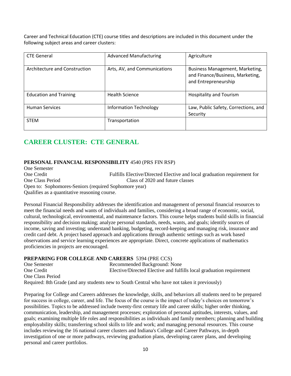Career and Technical Education (CTE) course titles and descriptions are included in this document under the following subject areas and career clusters:

| <b>CTE General</b>            | <b>Advanced Manufacturing</b> | Agriculture                                                                                 |
|-------------------------------|-------------------------------|---------------------------------------------------------------------------------------------|
| Architecture and Construction | Arts, AV, and Communications  | Business Management, Marketing,<br>and Finance/Business, Marketing,<br>and Entrepreneurship |
| <b>Education and Training</b> | <b>Health Science</b>         | Hospitality and Tourism                                                                     |
| <b>Human Services</b>         | <b>Information Technology</b> | Law, Public Safety, Corrections, and<br>Security                                            |
| <b>STEM</b>                   | Transportation                |                                                                                             |

### **CAREER CLUSTER: CTE GENERAL**

### **PERSONAL FINANCIAL RESPONSIBILITY** 4540 (PRS FIN RSP)

One Semester One Credit Fulfills Elective/Directed Elective and local graduation requirement for One Class Period Class of 2020 and future classes Open to: Sophomores-Seniors (required Sophomore year) Qualifies as a quantitative reasoning course.

Personal Financial Responsibility addresses the identification and management of personal financial resources to meet the financial needs and wants of individuals and families, considering a broad range of economic, social, cultural, technological, environmental, and maintenance factors. This course helps students build skills in financial responsibility and decision making; analyze personal standards, needs, wants, and goals; identify sources of income, saving and investing; understand banking, budgeting, record-keeping and managing risk, insurance and credit card debt. A project based approach and applications through authentic settings such as work based observations and service learning experiences are appropriate. Direct, concrete applications of mathematics proficiencies in projects are encouraged.

### **PREPARING FOR COLLEGE AND CAREERS** 5394 (PRE CCS)

One Semester Recommended Background: None One Credit Elective/Directed Elective and fulfills local graduation requirement One Class Period Required: 8th Grade (and any students new to South Central who have not taken it previously)

Preparing for College and Careers addresses the knowledge, skills, and behaviors all students need to be prepared for success in college, career, and life. The focus of the course is the impact of today's choices on tomorrow's possibilities. Topics to be addressed include twenty-first century life and career skills; higher order thinking, communication, leadership, and management processes; exploration of personal aptitudes, interests, values, and goals; examining multiple life roles and responsibilities as individuals and family members; planning and building employability skills; transferring school skills to life and work; and managing personal resources. This course includes reviewing the 16 national career clusters and Indiana's College and Career Pathways, in-depth investigation of one or more pathways, reviewing graduation plans, developing career plans, and developing personal and career portfolios.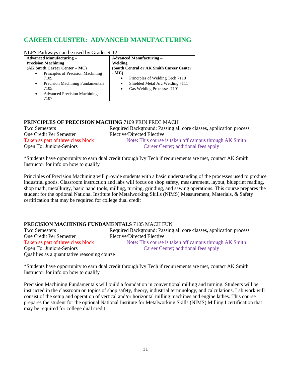### **CAREER CLUSTER: ADVANCED MANUFACTURING**

|  | NLPS Pathways can be used by Grades 9-12 |  |  |  |  |
|--|------------------------------------------|--|--|--|--|
|--|------------------------------------------|--|--|--|--|

| <b>Advanced Manufacturing –</b>                                                                                 | <b>Advanced Manufacturing –</b>                                                                                |  |  |
|-----------------------------------------------------------------------------------------------------------------|----------------------------------------------------------------------------------------------------------------|--|--|
| <b>Precision Machining</b>                                                                                      | Welding                                                                                                        |  |  |
| (AK Smith Career Center – MC)                                                                                   | (South Central or AK Smith Career Center)                                                                      |  |  |
| Principles of Precision Machining<br>$\bullet$<br>7109<br>Precision Machining Fundamentals<br>$\bullet$<br>7105 | $-MC$<br>Principles of Welding Tech 7110<br>Shielded Metal Arc Welding 7111<br>٠<br>Gas Welding Processes 7101 |  |  |
| <b>Advanced Precision Machining</b><br>$\bullet$<br>7107                                                        | $\bullet$                                                                                                      |  |  |

### **PRINCIPLES OF PRECISION MACHING** 7109 PRIN PREC MACH

| <b>Two Semesters</b>               | Required Background: Passing all core classes, application process |
|------------------------------------|--------------------------------------------------------------------|
| One Credit Per Semester            | Elective/Directed Elective                                         |
| Taken as part of three class block | Note: This course is taken off campus through AK Smith             |
| Open To: Juniors-Seniors           | Career Center; additional fees apply                               |

\*Students have opportunity to earn dual credit through Ivy Tech if requirements are met, contact AK Smith Instructor for info on how to qualify

Principles of Precision Machining will provide students with a basic understanding of the processes used to produce industrial goods. Classroom instruction and labs will focus on shop safety, measurement, layout, blueprint reading, shop math, metallurgy, basic hand tools, milling, turning, grinding, and sawing operations. This course prepares the student for the optional National Institute for Metalworking Skills (NIMS) Measurement, Materials, & Safety certification that may be required for college dual credit

### **PRECISION MACHINING FUNDAMENTALS** 7105 MACH FUN

Two Semesters Required Background: Passing all core classes, application process One Credit Per Semester Elective/Directed Elective Taken as part of three class block Note: This course is taken off campus through AK Smith Open To: Juniors-Seniors Career Center; additional fees apply Qualifies as a quantitative reasoning course

\*Students have opportunity to earn dual credit through Ivy Tech if requirements are met, contact AK Smith Instructor for info on how to qualify

Precision Machining Fundamentals will build a foundation in conventional milling and turning. Students will be instructed in the classroom on topics of shop safety, theory, industrial terminology, and calculations. Lab work will consist of the setup and operation of vertical and/or horizontal milling machines and engine lathes. This course prepares the student for the optional National Institute for Metalworking Skills (NIMS) Milling I certification that may be required for college dual credit.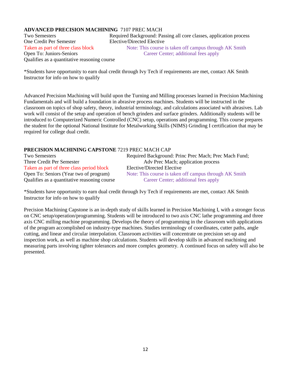### **ADVANCED PRECISION MACHINING** 7107 PREC MACH

One Credit Per Semester Elective/Directed Elective Qualifies as a quantitative reasoning course

Two Semesters Required Background: Passing all core classes, application process Taken as part of three class block Note: This course is taken off campus through AK Smith Open To: Juniors-Seniors Career Center; additional fees apply

\*Students have opportunity to earn dual credit through Ivy Tech if requirements are met, contact AK Smith Instructor for info on how to qualify

Advanced Precision Machining will build upon the Turning and Milling processes learned in Precision Machining Fundamentals and will build a foundation in abrasive process machines. Students will be instructed in the classroom on topics of shop safety, theory, industrial terminology, and calculations associated with abrasives. Lab work will consist of the setup and operation of bench grinders and surface grinders. Additionally students will be introduced to Computerized Numeric Controlled (CNC) setup, operations and programming. This course prepares the student for the optional National Institute for Metalworking Skills (NIMS) Grinding I certification that may be required for college dual credit.

### **PRECISION MACHINING CAPSTONE** 7219 PREC MACH CAP

| Two Semesters                                | Required Background: Princ Prec Mach; Prec Mach Fund;  |
|----------------------------------------------|--------------------------------------------------------|
| Three Credit Per Semester                    | Adv Prec Mach; application process                     |
| Taken as part of three class period block    | Elective/Directed Elective                             |
| Open To: Seniors (Year two of program)       | Note: This course is taken off campus through AK Smith |
| Qualifies as a quantitative reasoning course | Career Center; additional fees apply                   |

\*Students have opportunity to earn dual credit through Ivy Tech if requirements are met, contact AK Smith Instructor for info on how to qualify

Precision Machining Capstone is an in-depth study of skills learned in Precision Machining I, with a stronger focus on CNC setup/operation/programming. Students will be introduced to two axis CNC lathe programming and three axis CNC milling machine programming. Develops the theory of programming in the classroom with applications of the program accomplished on industry-type machines. Studies terminology of coordinates, cutter paths, angle cutting, and linear and circular interpolation. Classroom activities will concentrate on precision set-up and inspection work, as well as machine shop calculations. Students will develop skills in advanced machining and measuring parts involving tighter tolerances and more complex geometry. A continued focus on safety will also be presented.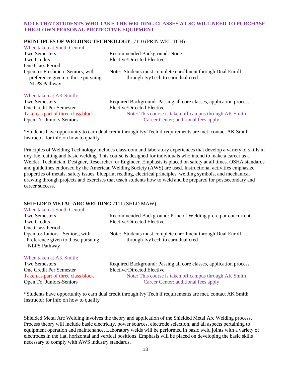### **NOTE THAT STUDENTS WHO TAKE THE WELDING CLASSES AT SC WILL NEED TO PURCHASE THEIR OWN PERSONAL PROTECTIVE EQUIPMENT.**

### **PRINCIPLES OF WELDING TECHNOLOGY** 7110 (PRIN WEL TCH)

| When taken at South Central:                                                                  |                                                                                                  |
|-----------------------------------------------------------------------------------------------|--------------------------------------------------------------------------------------------------|
| <b>Two Semesters</b>                                                                          | Recommended Background: None                                                                     |
| <b>Two Credits</b>                                                                            | Elective/Directed Elective                                                                       |
| One Class Period                                                                              |                                                                                                  |
| Open to: Freshmen -Seniors, with<br>preference given to those pursuing<br><b>NLPS</b> Pathway | Note: Students must complete enrollment through Dual Enroll<br>through IvyTech to earn dual cred |
| When taken at AK Smith:                                                                       |                                                                                                  |
| <b>Two Semesters</b>                                                                          | Required Background: Passing all core classes, application process                               |
| One Credit Per Semester                                                                       | Elective/Directed Elective                                                                       |
| Taken as part of three class block                                                            | Note: This course is taken off campus through AK Smith                                           |

Open To: Juniors-Seniors Career Center; additional fees apply

\*Students have opportunity to earn dual credit through Ivy Tech if requirements are met, contact AK Smith Instructor for info on how to qualify

Principles of Welding Technology includes classroom and laboratory experiences that develop a variety of skills in oxy-fuel cutting and basic welding. This course is designed for individuals who intend to make a career as a Welder, Technician, Designer, Researcher, or Engineer. Emphasis is placed on safety at all times. OSHA standards and guidelines endorsed by the American Welding Society (AWS) are used. Instructional activities emphasize properties of metals, safety issues, blueprint reading, electrical principles, welding symbols, and mechanical drawing through projects and exercises that teach students how to weld and be prepared for postsecondary and career success.

#### **SHIELDED METAL ARC WELDING** 7111 (SHLD MAW)

| When taken at South Central:                                                                  |                                                                                                  |
|-----------------------------------------------------------------------------------------------|--------------------------------------------------------------------------------------------------|
| <b>Two Semesters</b>                                                                          | Recommended Background: Princ of Welding prereq or concurrent                                    |
| Two Credits                                                                                   | Elective/Directed Elective                                                                       |
| One Class Period                                                                              |                                                                                                  |
| Open to: Juniors - Seniors, with<br>Preference given to those pursuing<br><b>NLPS</b> Pathway | Note: Students must complete enrollment through Dual Enroll<br>through IvyTech to earn dual cred |
| When taken at AK Smith:                                                                       |                                                                                                  |
| <b>Two Semesters</b>                                                                          | Required Background: Passing all core classes, application process                               |
| One Credit Per Semester                                                                       | Elective/Directed Elective                                                                       |
|                                                                                               |                                                                                                  |

Taken as part of three class block Note: This course is taken off campus through AK Smith Open To: Juniors-Seniors Career Center; additional fees apply

\*Students have opportunity to earn dual credit through Ivy Tech if requirements are met, contact AK Smith Instructor for info on how to qualify

Shielded Metal Arc Welding involves the theory and application of the Shielded Metal Arc Welding process. Process theory will include basic electricity, power sources, electrode selection, and all aspects pertaining to equipment operation and maintenance. Laboratory welds will be performed in basic weld joints with a variety of electrodes in the flat, horizontal and vertical positions. Emphasis will be placed on developing the basic skills necessary to comply with AWS industry standards.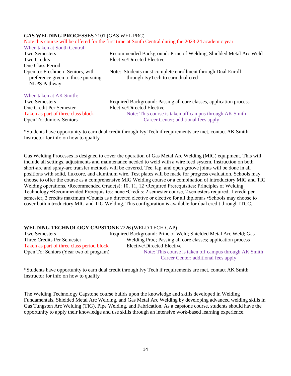### **GAS WELDING PROCESSES** 7101 (GAS WEL PRC)

|                                                                                               | Note this course will be offered for the first time at South Central during the 2023-24 academic year. |
|-----------------------------------------------------------------------------------------------|--------------------------------------------------------------------------------------------------------|
| When taken at South Central:                                                                  |                                                                                                        |
| <b>Two Semesters</b>                                                                          | Recommended Background: Princ of Welding, Shielded Metal Arc Weld                                      |
| Two Credits                                                                                   | Elective/Directed Elective                                                                             |
| One Class Period                                                                              |                                                                                                        |
| Open to: Freshmen -Seniors, with<br>preference given to those pursuing<br><b>NLPS</b> Pathway | Note: Students must complete enrollment through Dual Enroll<br>through IvyTech to earn dual cred       |
| When taken at AK Smith:                                                                       |                                                                                                        |
| <b>Two Semesters</b>                                                                          | Required Background: Passing all core classes, application process                                     |
| One Credit Per Semester                                                                       | Elective/Directed Elective                                                                             |
| Taken as part of three class block                                                            | Note: This course is taken off campus through AK Smith                                                 |
| Open To: Juniors-Seniors                                                                      | Career Center; additional fees apply                                                                   |

\*Students have opportunity to earn dual credit through Ivy Tech if requirements are met, contact AK Smith Instructor for info on how to qualify

Gas Welding Processes is designed to cover the operation of Gas Metal Arc Welding (MIG) equipment. This will include all settings, adjustments and maintenance needed to weld with a wire feed system. Instruction on both short-arc and spray-arc transfer methods will be covered. Tee, lap, and open groove joints will be done in all positions with solid, fluxcore, and aluminum wire. Test plates will be made for progress evaluation. Schools may choose to offer the course as a comprehensive MIG Welding course or a combination of introductory MIG and TIG Welding operations. •Recommended Grade(s): 10, 11, 12 •Required Prerequisites: Principles of Welding Technology •Recommended Prerequisites: none •Credits: 2 semester course, 2 semesters required, 1 credit per semester, 2 credits maximum •Counts as a directed elective or elective for all diplomas •Schools may choose to cover both introductory MIG and TIG Welding. This configuration is available for dual credit through ITCC.

#### **WELDING TECHNOLOGY CAPSTONE** 7226 (WELD TECH CAP)

| Two Semesters                             | Required Background: Princ of Weld; Shielded Metal Arc Weld; Gas |
|-------------------------------------------|------------------------------------------------------------------|
| Three Credits Per Semester                | Welding Proc; Passing all core classes; application process      |
| Taken as part of three class period block | Elective/Directed Elective                                       |
| Open To: Seniors (Year two of program)    | Note: This course is taken off campus through AK Smith           |
|                                           | Career Center; additional fees apply                             |

\*Students have opportunity to earn dual credit through Ivy Tech if requirements are met, contact AK Smith Instructor for info on how to qualify

The Welding Technology Capstone course builds upon the knowledge and skills developed in Welding Fundamentals, Shielded Metal Arc Welding, and Gas Metal Arc Welding by developing advanced welding skills in Gas Tungsten Arc Welding (TIG), Pipe Welding, and Fabrication. As a capstone course, students should have the opportunity to apply their knowledge and use skills through an intensive work-based learning experience.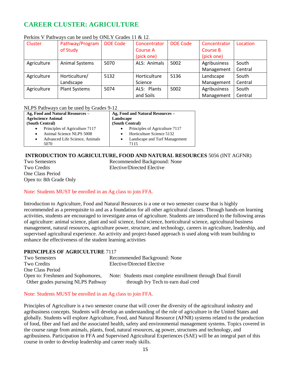### **CAREER CLUSTER: AGRICULTURE**

| Cluster     | Pathway/Program       | <b>DOE Code</b> | Concentrator    | <b>DOE Code</b> | Concentrator    | Location |
|-------------|-----------------------|-----------------|-----------------|-----------------|-----------------|----------|
|             | of Study              |                 | <b>Course A</b> |                 | <b>Course B</b> |          |
|             |                       |                 | (pick one)      |                 | (pick one)      |          |
| Agriculture | <b>Animal Systems</b> | 5070            | ALS: Animals    | 5002            | Agribusiness    | South    |
|             |                       |                 |                 |                 | Management      | Central  |
| Agriculture | Horticulture/         | 5132            | Horticulture    | 5136            | Landscape       | South    |
|             | Landscape             |                 | Science         |                 | Management      | Central  |
| Agriculture | <b>Plant Systems</b>  | 5074            | ALS: Plants     | 5002            | Agribusiness    | South    |
|             |                       |                 | and Soils       |                 | Management      | Central  |

### Perkins V Pathways can be used by ONLY Grades 11 & 12.

### NLPS Pathways can be used by Grades 9-12

| Ag, Food and Natural Resources –            | Ag, Food and Natural Resources -    |
|---------------------------------------------|-------------------------------------|
| <b>Agriscience Animal</b>                   | Landscape                           |
| (South Central)                             | (South Central)                     |
| Principles of Agriculture 7117<br>$\bullet$ | Principles of Agriculture 7117<br>٠ |
| Animal Science NLPS 5008<br>$\bullet$       | Horticulture Science 5132           |
| Advanced Life Science, Animals<br>$\bullet$ | Landscape and Turf Management<br>٠  |
| 5070                                        | 7115                                |

### **INTRODUCTION TO AGRICULTURE, FOOD AND NATURAL RESOURCES** 5056 (INT AGFNR)

One Class Period Open to: 8th Grade Only

Two Semesters Recommended Background: None Two Credits Elective/Directed Elective

### Note: Students MUST be enrolled in an Ag class to join FFA.

Introduction to Agriculture, Food and Natural Resources is a one or two semester course that is highly recommended as a prerequisite to and as a foundation for all other agricultural classes. Through hands-on learning activities, students are encouraged to investigate areas of agriculture. Students are introduced to the following areas of agriculture: animal science, plant and soil science, food science, horticultural science, agricultural business management, natural resources, agriculture power, structure, and technology, careers in agriculture, leadership, and supervised agricultural experience. An activity and project-based approach is used along with team building to enhance the effectiveness of the student learning activities

### **PRINCIPLES OF AGRICULTURE** 7117

| <b>Two Semesters</b>               | Recommended Background: None                                |
|------------------------------------|-------------------------------------------------------------|
| Two Credits                        | Elective/Directed Elective                                  |
| One Class Period                   |                                                             |
| Open to: Freshmen and Sophomores,  | Note: Students must complete enrollment through Dual Enroll |
| Other grades pursuing NLPS Pathway | through Ivy Tech to earn dual cred                          |

### Note: Students MUST be enrolled in an Ag class to join FFA.

Principles of Agriculture is a two semester course that will cover the diversity of the agricultural industry and agribusiness concepts. Students will develop an understanding of the role of agriculture in the United States and globally. Students will explore Agriculture, Food, and Natural Resource (AFNR) systems related to the production of food, fiber and fuel and the associated health, safety and environmental management systems. Topics covered in the course range from animals, plants, food, natural resources, ag power, structures and technology, and agribusiness. Participation in FFA and Supervised Agricultural Experiences (SAE) will be an integral part of this course in order to develop leadership and career ready skills.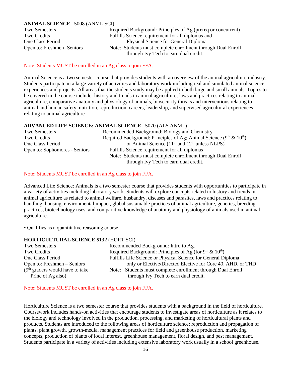### **ANIMAL SCIENCE** 5008 (ANML SCI)

Two Semesters Required Background: Principles of Ag (prereq or concurrent) Two Credits Fulfills Science requirement for all diplomas and One Class Period Physical Science for General Diploma Open to: Freshmen -Seniors Note: Students must complete enrollment through Dual Enroll through Ivy Tech to earn dual credit.

### Note: Students MUST be enrolled in an Ag class to join FFA.

Animal Science is a two semester course that provides students with an overview of the animal agriculture industry. Students participate in a large variety of activities and laboratory work including real and simulated animal science experiences and projects. All areas that the students study may be applied to both large and small animals. Topics to be covered in the course include: history and trends in animal agriculture, laws and practices relating to animal agriculture, comparative anatomy and physiology of animals, biosecurity threats and interventions relating to animal and human safety, nutrition, reproduction, careers, leadership, and supervised agricultural experiences relating to animal agriculture

### **ADVANCED LIFE SCIENCE: ANIMAL SCIENCE** 5070 (ALS ANML)

| Recommended Background: Biology and Chemistry                         |
|-----------------------------------------------------------------------|
| Required Background: Principles of Ag; Animal Science $(9th \& 10th)$ |
| or Animal Science $(11th$ and $12th$ unless NLPS)                     |
| Fulfills Science requirement for all diplomas                         |
| Note: Students must complete enrollment through Dual Enroll           |
| through Ivy Tech to earn dual credit.                                 |
|                                                                       |

### Note: Students MUST be enrolled in an Ag class to join FFA.

Advanced Life Science: Animals is a two semester course that provides students with opportunities to participate in a variety of activities including laboratory work. Students will explore concepts related to history and trends in animal agriculture as related to animal welfare, husbandry, diseases and parasites, laws and practices relating to handling, housing, environmental impact, global sustainable practices of animal agriculture, genetics, breeding practices, biotechnology uses, and comparative knowledge of anatomy and physiology of animals used in animal agriculture.

• Qualifies as a quantitative reasoning course

### **HORTICULTURAL SCIENCE 5132** (HORT SCI)

| Two Semesters                     | Recommended Background: Intro to Ag.                          |
|-----------------------------------|---------------------------------------------------------------|
| Two Credits                       | Required Background: Principles of Ag (for $9th \& 10th$ )    |
| One Class Period                  | Fulfills Life Science or Physical Science for General Diploma |
| Open to: Freshmen – Seniors       | only or Elective/Directed Elective for Core 40, AHD, or THD   |
| $(9th$ graders would have to take | Note: Students must complete enrollment through Dual Enroll   |
| Princ of Ag also)                 | through Ivy Tech to earn dual credit.                         |

Note: Students MUST be enrolled in an Ag class to join FFA.

Horticulture Science is a two semester course that provides students with a background in the field of horticulture. Coursework includes hands-on activities that encourage students to investigate areas of horticulture as it relates to the biology and technology involved in the production, processing, and marketing of horticultural plants and products. Students are introduced to the following areas of horticulture science: reproduction and propagation of plants, plant growth, growth-media, management practices for field and greenhouse production, marketing concepts, production of plants of local interest, greenhouse management, floral design, and pest management. Students participate in a variety of activities including extensive laboratory work usually in a school greenhouse.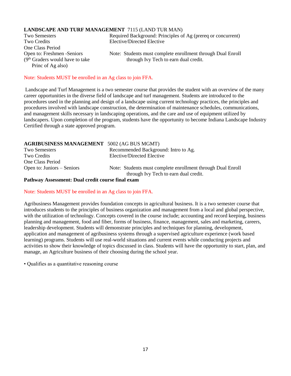### **LANDSCAPE AND TURF MANAGEMENT** 7115 (LAND TUR MAN)

Two Credits Elective/Directed Elective One Class Period Princ of Ag also)

Two Semesters Required Background: Principles of Ag (prereq or concurrent)

Open to: Freshmen -Seniors Note: Students must complete enrollment through Dual Enroll  $(9<sup>th</sup> Graders would have to take *through* Ivy Tech to earn dual credit.$ 

### Note: Students MUST be enrolled in an Ag class to join FFA.

Landscape and Turf Management is a two semester course that provides the student with an overview of the many career opportunities in the diverse field of landscape and turf management. Students are introduced to the procedures used in the planning and design of a landscape using current technology practices, the principles and procedures involved with landscape construction, the determination of maintenance schedules, communications, and management skills necessary in landscaping operations, and the care and use of equipment utilized by landscapers. Upon completion of the program, students have the opportunity to become Indiana Landscape Industry Certified through a state approved program.

### **AGRIBUSINESS MANAGEMENT** 5002 (AG BUS MGMT)

| Two Semesters                | Recommended Background: Intro to Ag.                                                                 |
|------------------------------|------------------------------------------------------------------------------------------------------|
| Two Credits                  | Elective/Directed Elective                                                                           |
| One Class Period             |                                                                                                      |
| Open to: Juniors $-$ Seniors | Note: Students must complete enrollment through Dual Enroll<br>through Ivy Tech to earn dual credit. |

#### **Pathway Assessment: Dual credit course final exam**

#### Note: Students MUST be enrolled in an Ag class to join FFA.

Agribusiness Management provides foundation concepts in agricultural business. It is a two semester course that introduces students to the principles of business organization and management from a local and global perspective, with the utilization of technology. Concepts covered in the course include; accounting and record keeping, business planning and management, food and fiber, forms of business, finance, management, sales and marketing, careers, leadership development. Students will demonstrate principles and techniques for planning, development, application and management of agribusiness systems through a supervised agriculture experience (work based learning) programs. Students will use real-world situations and current events while conducting projects and activities to show their knowledge of topics discussed in class. Students will have the opportunity to start, plan, and manage, an Agriculture business of their choosing during the school year.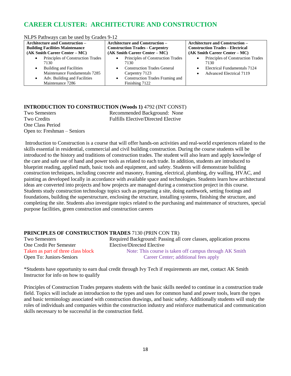### **CAREER CLUSTER: ARCHITECTURE AND CONSTRUCTION**

| NLPS Pathways can be used by Grades 9-12       |                                                                                   |                                        |  |
|------------------------------------------------|-----------------------------------------------------------------------------------|----------------------------------------|--|
| <b>Architecture and Construction –</b>         | <b>Architecture and Construction –</b>                                            | <b>Architecture and Construction –</b> |  |
| <b>Building Facilities Maintenance</b>         | <b>Construction Trades - Carpentry</b><br><b>Construction Trades - Electrical</b> |                                        |  |
| $(AK Smith Carter Center - MC)$                | $(AK Smith Carter Center - MC)$                                                   | $(AK Smith Carter Center - MC)$        |  |
| Principles of Construction Trades<br>$\bullet$ | Principles of Construction Trades                                                 | Principles of Construction Trades      |  |
| 7130                                           | 7130                                                                              | 7130                                   |  |
| <b>Building and Facilities</b><br>$\bullet$    | <b>Construction Trades General</b>                                                | Electrical Fundamentals 7124           |  |
| Maintenance Fundamentals 7285                  | Carpentry 7123                                                                    | <b>Advanced Electrical 7119</b>        |  |
| Adv. Building and Facilities                   | Construction Trades Framing and                                                   |                                        |  |
| Maintenance 7286                               | Finishing 7122                                                                    |                                        |  |

### **INTRODUCTION TO CONSTRUCTION (Woods 1)** 4792 (INT CONST) Two Semesters Recommended Background: None Two Credits **Fulfills** Elective/Directed Elective One Class Period

Open to: Freshman – Seniors

Introduction to Construction is a course that will offer hands-on activities and real-world experiences related to the skills essential in residential, commercial and civil building construction. During the course students will be introduced to the history and traditions of construction trades. The student will also learn and apply knowledge of the care and safe use of hand and power tools as related to each trade. In addition, students are introduced to blueprint reading, applied math, basic tools and equipment, and safety. Students will demonstrate building construction techniques, including concrete and masonry, framing, electrical, plumbing, dry walling, HVAC, and painting as developed locally in accordance with available space and technologies. Students learn how architectural ideas are converted into projects and how projects are managed during a construction project in this course. Students study construction technology topics such as preparing a site, doing earthwork, setting footings and foundations, building the superstructure, enclosing the structure, installing systems, finishing the structure, and completing the site. Students also investigate topics related to the purchasing and maintenance of structures, special purpose facilities, green construction and construction careers

### **PRINCIPLES OF CONSTRUCTION TRADES** 7130 (PRIN CON TR)

| <b>Two Semesters</b>               | Required Background: Passing all core classes, application process |
|------------------------------------|--------------------------------------------------------------------|
| One Credit Per Semester            | Elective/Directed Elective                                         |
| Taken as part of three class block | Note: This course is taken off campus through AK Smith             |
| Open To: Juniors-Seniors           | Career Center; additional fees apply                               |

\*Students have opportunity to earn dual credit through Ivy Tech if requirements are met, contact AK Smith Instructor for info on how to qualify

Principles of Construction Trades prepares students with the basic skills needed to continue in a construction trade field. Topics will include an introduction to the types and uses for common hand and power tools, learn the types and basic terminology associated with construction drawings, and basic safety. Additionally students will study the roles of individuals and companies within the construction industry and reinforce mathematical and communication skills necessary to be successful in the construction field.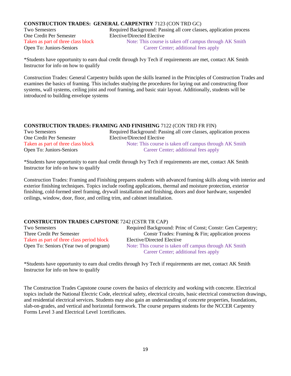### **CONSTRUCTION TRADES: GENERAL CARPENTRY** 7123 (CON TRD GC)

One Credit Per Semester Elective/Directed Elective

Two Semesters Required Background: Passing all core classes, application process Taken as part of three class block Note: This course is taken off campus through AK Smith Open To: Juniors-Seniors Career Center; additional fees apply

\*Students have opportunity to earn dual credit through Ivy Tech if requirements are met, contact AK Smith Instructor for info on how to qualify

Construction Trades: General Carpentry builds upon the skills learned in the Principles of Construction Trades and examines the basics of framing. This includes studying the procedures for laying out and constructing floor systems, wall systems, ceiling joist and roof framing, and basic stair layout. Additionally, students will be introduced to building envelope systems

### **CONSTRUCTION TRADES: FRAMING AND FINISHING** 7122 (CON TRD FR FIN)

| <b>Two Semesters</b>               | Required Background: Passing all core classes, application process |
|------------------------------------|--------------------------------------------------------------------|
| One Credit Per Semester            | Elective/Directed Elective                                         |
| Taken as part of three class block | Note: This course is taken off campus through AK Smith             |
| Open To: Juniors-Seniors           | Career Center; additional fees apply                               |

\*Students have opportunity to earn dual credit through Ivy Tech if requirements are met, contact AK Smith Instructor for info on how to qualify

Construction Trades: Framing and Finishing prepares students with advanced framing skills along with interior and exterior finishing techniques. Topics include roofing applications, thermal and moisture protection, exterior finishing, cold-formed steel framing, drywall installation and finishing, doors and door hardware, suspended ceilings, window, door, floor, and ceiling trim, and cabinet installation.

### **CONSTRUCTION TRADES CAPSTONE** 7242 (CSTR TR CAP)

| <b>Two Semesters</b>                      | Required Background: Princ of Const; Constr: Gen Carpentry; |
|-------------------------------------------|-------------------------------------------------------------|
| Three Credit Per Semester                 | Constr Trades: Framing $& Fin$ ; application process        |
| Taken as part of three class period block | Elective/Directed Elective                                  |
| Open To: Seniors (Year two of program)    | Note: This course is taken off campus through AK Smith      |
|                                           | Career Center; additional fees apply                        |

\*Students have opportunity to earn dual credits through Ivy Tech if requirements are met, contact AK Smith Instructor for info on how to qualify

The Construction Trades Capstone course covers the basics of electricity and working with concrete. Electrical topics include the National Electric Code, electrical safety, electrical circuits, basic electrical construction drawings, and residential electrical services. Students may also gain an understanding of concrete properties, foundations, slab-on-grades, and vertical and horizontal formwork. The course prepares students for the NCCER Carpentry Forms Level 3 and Electrical Level 1certificates.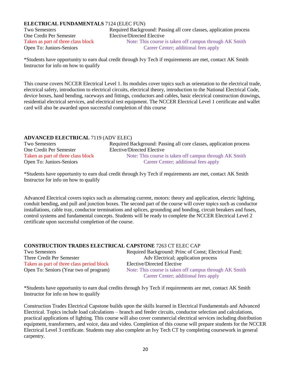### **ELECTRICAL FUNDAMENTALS** 7124 (ELEC FUN)

One Credit Per Semester Elective/Directed Elective

Two Semesters Required Background: Passing all core classes, application process Taken as part of three class block Note: This course is taken off campus through AK Smith Open To: Juniors-Seniors Career Center; additional fees apply

\*Students have opportunity to earn dual credit through Ivy Tech if requirements are met, contact AK Smith Instructor for info on how to qualify

This course covers NCCER Electrical Level 1. Its modules cover topics such as orientation to the electrical trade, electrical safety, introduction to electrical circuits, electrical theory, introduction to the National Electrical Code, device boxes, hand bending, raceways and fittings, conductors and cables, basic electrical construction drawings, residential electrical services, and electrical test equipment. The NCCER Electrical Level 1 certificate and wallet card will also be awarded upon successful completion of this course

### **ADVANCED ELECTRICAL** 7119 (ADV ELEC)

| Two Semesters                      | Required Background: Passing all core classes, application process |
|------------------------------------|--------------------------------------------------------------------|
| One Credit Per Semester            | Elective/Directed Elective                                         |
| Taken as part of three class block | Note: This course is taken off campus through AK Smith             |
| <b>Open To: Juniors-Seniors</b>    | Career Center; additional fees apply                               |
|                                    |                                                                    |

\*Students have opportunity to earn dual credit through Ivy Tech if requirements are met, contact AK Smith Instructor for info on how to qualify

Advanced Electrical covers topics such as alternating current, motors: theory and application, electric lighting, conduit bending, and pull and junction boxes. The second part of the course will cover topics such as conductor installations, cable tray, conductor terminations and splices, grounding and bonding, circuit breakers and fuses, control systems and fundamental concepts. Students will be ready to complete the NCCER Electrical Level 2 certificate upon successful completion of the course.

| <b>CONSTRUCTION TRADES ELECTRICAL CAPSTONE 7263 CT ELEC CAP</b> |                                                        |
|-----------------------------------------------------------------|--------------------------------------------------------|
| Two Semesters                                                   | Required Background: Princ of Const; Electrical Fund;  |
| Three Credit Per Semester                                       | Adv Electrical; application process                    |
| Taken as part of three class period block                       | Elective/Directed Elective                             |
| Open To: Seniors (Year two of program)                          | Note: This course is taken off campus through AK Smith |
|                                                                 | Career Center; additional fees apply                   |

\*Students have opportunity to earn dual credits through Ivy Tech if requirements are met, contact AK Smith Instructor for info on how to qualify

Construction Trades Electrical Capstone builds upon the skills learned in Electrical Fundamentals and Advanced Electrical. Topics include load calculations – branch and feeder circuits, conductor selection and calculations, practical applications of lighting. This course will also cover commercial electrical services including distribution equipment, transformers, and voice, data and video. Completion of this course will prepare students for the NCCER Electrical Level 3 certificate. Students may also complete an Ivy Tech CT by completing coursework in general carpentry.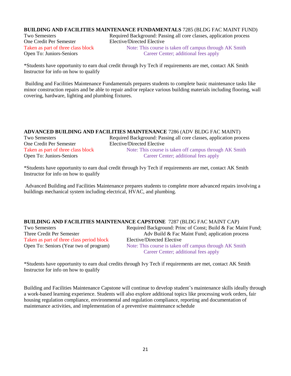### **BUILDING AND FACILITIES MAINTENANCE FUNDAMENTALS** 7285 (BLDG FAC MAINT FUND)

One Credit Per Semester Elective/Directed Elective Open To: Juniors-Seniors Career Center; additional fees apply

Two Semesters Required Background: Passing all core classes, application process Taken as part of three class block Note: This course is taken off campus through AK Smith

\*Students have opportunity to earn dual credit through Ivy Tech if requirements are met, contact AK Smith Instructor for info on how to qualify

Building and Facilities Maintenance Fundamentals prepares students to complete basic maintenance tasks like minor construction repairs and be able to repair and/or replace various building materials including flooring, wall covering, hardware, lighting and plumbing fixtures.

### **ADVANCED BUILDING AND FACILITIES MAINTENANCE** 7286 (ADV BLDG FAC MAINT)

One Credit Per Semester Elective/Directed Elective

Two Semesters Required Background: Passing all core classes, application process Taken as part of three class block Note: This course is taken off campus through AK Smith Open To: Juniors-Seniors Career Center; additional fees apply

\*Students have opportunity to earn dual credit through Ivy Tech if requirements are met, contact AK Smith Instructor for info on how to qualify

Advanced Building and Facilities Maintenance prepares students to complete more advanced repairs involving a buildings mechanical system including electrical, HVAC, and plumbing.

### **BUILDING AND FACILITIES MAINTENANCE CAPSTONE** 7287 (BLDG FAC MAINT CAP)

Taken as part of three class period block<br>
Coven To: Seniors (Year two of program) Note: This course is taken

Two Semesters Required Background: Princ of Const; Build & Fac Maint Fund; Three Credit Per Semester Adv Build & Fac Maint Fund; application process Note: This course is taken off campus through AK Smith Career Center; additional fees apply

\*Students have opportunity to earn dual credits through Ivy Tech if requirements are met, contact AK Smith Instructor for info on how to qualify

Building and Facilities Maintenance Capstone will continue to develop student's maintenance skills ideally through a work-based learning experience. Students will also explore additional topics like processing work orders, fair housing regulation compliance, environmental and regulation compliance, reporting and documentation of maintenance activities, and implementation of a preventive maintenance schedule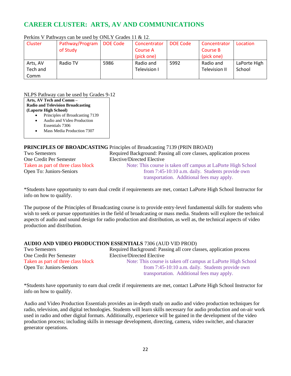### **CAREER CLUSTER: ARTS, AV AND COMMUNICATIONS**

| Cluster  | Pathway/Program | DOE Code | Concentrator | DOE Code | Concentrator  | Location     |
|----------|-----------------|----------|--------------|----------|---------------|--------------|
|          | of Study        |          | Course A     |          | Course B      |              |
|          |                 |          | (pick one)   |          | (pick one)    |              |
| Arts, AV | Radio TV        | 5986     | Radio and    | 5992     | Radio and     | LaPorte High |
| Tech and |                 |          | Television I |          | Television II | School       |
| Comm     |                 |          |              |          |               |              |

### Perkins V Pathways can be used by ONLY Grades 11 & 12.

### NLPS Pathway can be used by Grades 9-12

**Arts, AV Tech and Comm – Radio and Television Broadcasting (Laporte High School)**

- Principles of Broadcasting 7139
- Audio and Video Production

Essentials 7306

• Mass Media Production 7307

### **PRINCIPLES OF BROADCASTING** Principles of Broadcasting 7139 (PRIN BROAD)

One Credit Per Semester Elective/Directed Elective

Two Semesters Required Background: Passing all core classes, application process

Taken as part of three class block Note: This course is taken off campus at LaPorte High School Open To: Juniors-Seniors from 7:45-10:10 a.m. daily. Students provide own transportation. Additional fees may apply.

\*Students have opportunity to earn dual credit if requirements are met, contact LaPorte High School Instructor for info on how to qualify.

The purpose of the Principles of Broadcasting course is to provide entry-level fundamental skills for students who wish to seek or pursue opportunities in the field of broadcasting or mass media. Students will explore the technical aspects of audio and sound design for radio production and distribution, as well as, the technical aspects of video production and distribution.

### **AUDIO AND VIDEO PRODUCTION ESSENTIALS** 7306 (AUD VID PROD)

| <b>Two Semesters</b>               | Required Background: Passing all core classes, application process |
|------------------------------------|--------------------------------------------------------------------|
| One Credit Per Semester            | Elective/Directed Elective                                         |
| Taken as part of three class block | Note: This course is taken off campus at LaPorte High School       |
| Open To: Juniors-Seniors           | from 7:45-10:10 a.m. daily. Students provide own                   |
|                                    | transportation. Additional fees may apply.                         |

\*Students have opportunity to earn dual credit if requirements are met, contact LaPorte High School Instructor for info on how to qualify.

Audio and Video Production Essentials provides an in-depth study on audio and video production techniques for radio, television, and digital technologies. Students will learn skills necessary for audio production and on-air work used in radio and other digital formats. Additionally, experience will be gained in the development of the video production process; including skills in message development, directing, camera, video switcher, and character generator operations.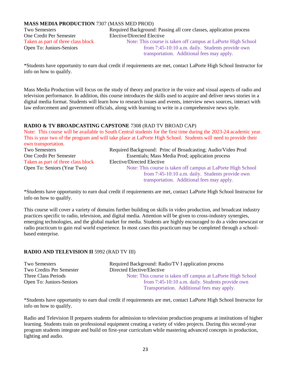### **MASS MEDIA PRODUCTION** 7307 (MASS MED PROD)

One Credit Per Semester Elective/Directed Elective

Two Semesters Required Background: Passing all core classes, application process

Taken as part of three class block Note: This course is taken off campus at LaPorte High School Open To: Juniors-Seniors from 7:45-10:10 a.m. daily. Students provide own transportation. Additional fees may apply.

\*Students have opportunity to earn dual credit if requirements are met, contact LaPorte High School Instructor for info on how to qualify.

Mass Media Production will focus on the study of theory and practice in the voice and visual aspects of radio and television performance. In addition, this course introduces the skills used to acquire and deliver news stories in a digital media format. Students will learn how to research issues and events, interview news sources, interact with law enforcement and government officials, along with learning to write in a comprehensive news style.

### **RADIO & TV BROADCASTING CAPSTONE** 7308 (RAD TV BROAD CAP)

Note: This course will be available to South Central students for the first time during the 2023-24 academic year. This is year two of the program and will take place at LaPorte High School. Students will need to provide their own transportation. Two Semesters Required Background: Princ of Broadcasting; Audio/Video Prod<br>One Credit Per Semester Essentials: Mass Media Prod: application process Essentials; Mass Media Prod; application process Taken as part of three class block Elective/Directed Elective Open To: Seniors (Year Two) Note: This course is taken off campus at LaPorte High School from 7:45-10:10 a.m. daily. Students provide own transportation. Additional fees may apply.

\*Students have opportunity to earn dual credit if requirements are met, contact LaPorte High School Instructor for info on how to qualify.

This course will cover a variety of domains further building on skills in video production, and broadcast industry practices specific to radio, television, and digital media. Attention will be given to cross-industry synergies, emerging technologies, and the global market for media. Students are highly encouraged to do a video newscast or radio practicum to gain real world experience. In most cases this practicum may be completed through a schoolbased enterprise.

### **RADIO AND TELEVISION II** 5992 (RAD TV III)

| Two Semesters            | Required Background: Radio/TV I application process          |
|--------------------------|--------------------------------------------------------------|
| Two Credits Per Semester | Directed Elective/Elective                                   |
| Three Class Periods      | Note: This course is taken off campus at LaPorte High School |
| Open To: Juniors-Seniors | from 7:45-10:10 a.m. daily. Students provide own             |
|                          | Transportation. Additional fees may apply.                   |

\*Students have opportunity to earn dual credit if requirements are met, contact LaPorte High School Instructor for info on how to qualify.

Radio and Television II prepares students for admission to television production programs at institutions of higher learning. Students train on professional equipment creating a variety of video projects. During this second-year program students integrate and build on first-year curriculum while mastering advanced concepts in production, lighting and audio.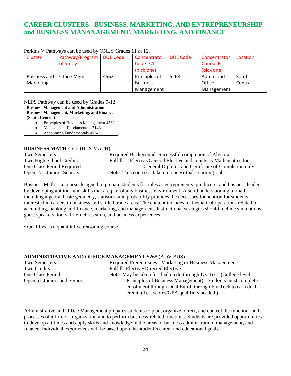### **CAREER CLUSTERS: BUSINESS, MARKETING, AND ENTREPRENEURSHIP and BUSINESS MANANAGEMENT, MARKETING, AND FINANCE**

| Cluster             | Pathway/Program | DOE Code | Concentrator    | DOE Code | Concentrator | Location |
|---------------------|-----------------|----------|-----------------|----------|--------------|----------|
|                     | of Study        |          | Course A        |          | Course B     |          |
|                     |                 |          | (pick one)      |          | (pick one)   |          |
| <b>Business and</b> | Office Mgmt     | 4562     | Principles of   | 5268     | Admin and    | South    |
| Marketing           |                 |          | <b>Business</b> |          | Office       | Central  |
|                     |                 |          | Management      |          | Management   |          |

### Perkins V Pathways can be used by ONLY Grades 11 & 12.

NLPS Pathway can be used by Grades 9-12

**Business Management and Administration - Business Management, Marketing, and Finance**

**(South Central)**

- Principles of Business Management 4562
- Management Fundamentals 7143
- Accounting Fundamentals 4524

### **BUSINESS MATH** 4512 (BUS MATH)

Two Semesters Required Background: Successful completion of Algebra Two High School Credits Fulfills: Elective/General Elective and counts as Mathematics for One Class Period Required General Diploma and Certificate of Completion only Open To: Juniors-Seniors Note: This course is taken in our Virtual Learning Lab

Business Math is a course designed to prepare students for roles as entrepreneurs, producers, and business leaders by developing abilities and skills that are part of any business environment. A solid understanding of math including algebra, basic geometry, statistics, and probability provides the necessary foundation for students interested in careers in business and skilled trade areas. The content includes mathematical operations related to accounting, banking and finance, marketing, and management. Instructional strategies should include simulations, guest speakers, tours, Internet research, and business experiences.

• Qualifies as a quantitative reasoning course

### **ADMINISTRATIVE AND OFFICE MANAGEMENT** 5268 (ADV BUS)

| <b>Two Semesters</b>         | Required Prerequisites: Marketing or Business Management            |
|------------------------------|---------------------------------------------------------------------|
| <b>Two Credits</b>           | <b>Fulfills Elective/Directed Elective</b>                          |
| One Class Period             | Note: May be taken for dual credit through Ivy Tech (College level) |
| Open to: Juniors and Seniors | Principles of Business Management) - Students must complete         |
|                              | enrollment through Dual Enroll through Ivy Tech to earn dual        |
|                              | credit. (Test scores/GPA qualifiers needed.)                        |

Administrative and Office Management prepares students to plan, organize, direct, and control the functions and processes of a firm or organization and to perform business-related functions. Students are provided opportunities to develop attitudes and apply skills and knowledge in the areas of business administration, management, and finance. Individual experiences will be based upon the student's career and educational goals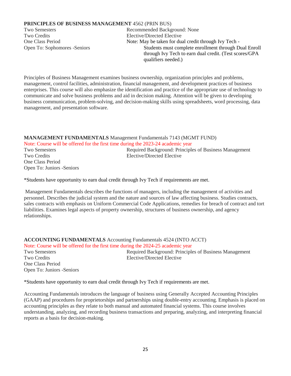### **PRINCIPLES OF BUSINESS MANAGEMENT** 4562 (PRIN BUS)

Two Credits Elective/Directed Elective

Two Semesters Recommended Background: None One Class Period Note: May be taken for dual credit through Ivy Tech -Open To: Sophomores -Seniors Students must complete enrollment through Dual Enroll through Ivy Tech to earn dual credit. (Test scores/GPA qualifiers needed.)

Principles of Business Management examines business ownership, organization principles and problems, management, control facilities, administration, financial management, and development practices of business enterprises. This course will also emphasize the identification and practice of the appropriate use of technology to communicate and solve business problems and aid in decision making. Attention will be given to developing business communication, problem-solving, and decision-making skills using spreadsheets, word processing, data management, and presentation software.

#### **MANAGEMENT FUNDAMENTALS** Management Fundamentals 7143 (MGMT FUND) Note: Course will be offered for the first time during the 2023-24 academic year

One Class Period Open To: Juniors -Seniors

Two Semesters **Required Background: Principles of Business Management**<br>
Two Credits **Required Bleetive** Plective Plective Elective/Directed Elective

\*Students have opportunity to earn dual credit through Ivy Tech if requirements are met.

Management Fundamentals describes the functions of managers, including the management of activities and personnel. Describes the judicial system and the nature and sources of law affecting business. Studies contracts, sales contracts with emphasis on Uniform Commercial Code Applications, remedies for breach of contract and tort liabilities. Examines legal aspects of property ownership, structures of business ownership, and agency relationships.

### **ACCOUNTING FUNDAMENTALS** Accounting Fundamentals 4524 (INTO ACCT) Note: Course will be offered for the first time during the 2024-25 academic year Two Semesters **Required Background: Principles of Business Management** Two Credits Elective/Directed Elective One Class Period Open To: Juniors -Seniors

\*Students have opportunity to earn dual credit through Ivy Tech if requirements are met.

Accounting Fundamentals introduces the language of business using Generally Accepted Accounting Principles (GAAP) and procedures for proprietorships and partnerships using double-entry accounting. Emphasis is placed on accounting principles as they relate to both manual and automated financial systems. This course involves understanding, analyzing, and recording business transactions and preparing, analyzing, and interpreting financial reports as a basis for decision-making.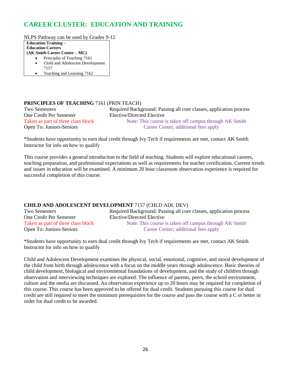### **CAREER CLUSTER: EDUCATION AND TRAINING**

NLPS Pathway can be used by Grades 9-12

**Education Training – Education Careers**

- **(AK Smith Career Center – MC)**
	- Principles of Teaching 7161
	- Child and Adolescent Development 7157
	- Teaching and Learning 7162

### **PRINCIPLES OF TEACHING** 7161 (PRIN TEACH)

One Credit Per Semester Elective/Directed Elective

Two Semesters Required Background: Passing all core classes, application process Taken as part of three class block Note: This course is taken off campus through AK Smith Open To: Juniors-Seniors Career Center; additional fees apply

\*Students have opportunity to earn dual credit through Ivy Tech if requirements are met, contact AK Smith Instructor for info on how to qualify

This course provides a general introduction to the field of teaching. Students will explore educational careers, teaching preparation, and professional expectations as well as requirements for teacher certification. Current trends and issues in education will be examined. A minimum 20 hour classroom observation experience is required for successful completion of this course.

### **CHILD AND ADOLESCENT DEVELOPMENT** 7157 (CHLD ADL DEV)

| Two Semesters                      | Required Background: Passing all core classes, application process |
|------------------------------------|--------------------------------------------------------------------|
| One Credit Per Semester            | Elective/Directed Elective                                         |
| Taken as part of three class block | Note: This course is taken off campus through AK Smith             |
| Open To: Juniors-Seniors           | Career Center; additional fees apply                               |

\*Students have opportunity to earn dual credit through Ivy Tech if requirements are met, contact AK Smith Instructor for info on how to qualify

Child and Adolescent Development examines the physical, social, emotional, cognitive, and moral development of the child from birth through adolescence with a focus on the middle years through adolescence. Basic theories of child development, biological and environmental foundations of development, and the study of children through observation and interviewing techniques are explored. The influence of parents, peers, the school environment, culture and the media are discussed. An observation experience up to 20 hours may be required for completion of this course. This course has been approved to be offered for dual credit. Students pursuing this course for dual credit are still required to meet the minimum prerequisites for the course and pass the course with a C or better in order for dual credit to be awarded.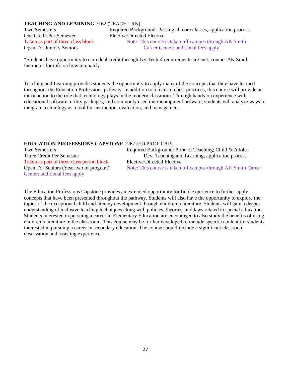### **TEACHING AND LEARNING** 7162 (TEACH LRN)

One Credit Per Semester Elective/Directed Elective

Two Semesters Required Background: Passing all core classes, application process Taken as part of three class block Note: This course is taken off campus through AK Smith Open To: Juniors-Seniors Career Center; additional fees apply

\*Students have opportunity to earn dual credit through Ivy Tech if requirements are met, contact AK Smith Instructor for info on how to qualify

Teaching and Learning provides students the opportunity to apply many of the concepts that they have learned throughout the Education Professions pathway. In addition to a focus on best practices, this course will provide an introduction to the role that technology plays in the modern classroom. Through hands-on experience with educational software, utility packages, and commonly used microcomputer hardware, students will analyze ways to integrate technology as a tool for instruction, evaluation, and management.

### **EDUCATION PROFESSIONS CAPSTONE** 7267 (ED PROF CAP)

Taken as part of three class period block Elective/Directed Elective Center; additional fees apply

Two Semesters **Required Background: Princ of Teaching**; Child & Adoles Three Credit Per Semester Dev; Teaching and Learning; application process Open To: Seniors (Year two of program) Note: This course is taken off campus through AK Smith Career

The Education Professions Capstone provides an extended opportunity for field experience to further apply concepts that have been presented throughout the pathway. Students will also have the opportunity to explore the topics of the exceptional child and literacy development through children's literature. Students will gain a deeper understanding of inclusive teaching techniques along with policies, theories, and laws related to special education. Students interested in pursuing a career in Elementary Education are encouraged to also study the benefits of using children's literature in the classroom. This course may be further developed to include specific content for students interested in pursuing a career in secondary education. The course should include a significant classroom observation and assisting experience.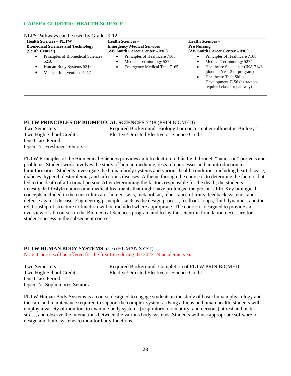### **CAREER CLUSTER: HEALTH SCIENCE**

#### NLPS Pathways can be used by Grades 9-12

| <b>Health Sciences - PLTW</b>                                                                                                | <b>Health Sciences –</b>                                                                                                | <b>Health Sciences –</b>                                                                                                                                                                                                                                        |  |
|------------------------------------------------------------------------------------------------------------------------------|-------------------------------------------------------------------------------------------------------------------------|-----------------------------------------------------------------------------------------------------------------------------------------------------------------------------------------------------------------------------------------------------------------|--|
| <b>Biomedical Sciences and Technology</b>                                                                                    | <b>Emergency Medical Services</b>                                                                                       | <b>Pre Nursing</b>                                                                                                                                                                                                                                              |  |
| (South Central)                                                                                                              | $(AK Smith Carter Center - MC)$                                                                                         | $(AK Smith Carter Center - MC)$                                                                                                                                                                                                                                 |  |
| Principles of Biomedical Sciences<br>$\bullet$<br>5218<br>Human Body Systems 5216<br>$\bullet$<br>Medical Interventions 5217 | Principles of Healthcare 7168<br>٠<br>Medical Terminology 5274<br>$\bullet$<br>Emergency Medical Tech 7165<br>$\bullet$ | Principles of Healthcare 7168<br>٠<br>Medical Terminology 5274<br>٠<br>Healthcare Specialist: CNA 7146<br>$\bullet$<br>(done in Year 2 of program)<br><b>Healthcare Tech Skills</b><br>$\bullet$<br>Development 7156 (extra/non-<br>required class for pathway) |  |

### **PLTW PRINCIPLES OF BIOMEDICAL SCIENCES** 5218 (PRIN BIOMED)

One Class Period Open To: Freshmen-Seniors

Two Semesters Required Background: Biology I or concurrent enrollment in Biology I Two High School Credits Elective/Directed Elective or Science Credit

PLTW Principles of the Biomedical Sciences provides an introduction to this field through "hands-on" projects and problems. Student work involves the study of human medicine, research processes and an introduction to bioinformatics. Students investigate the human body systems and various health conditions including heart disease, diabetes, hypercholesterolemia, and infectious diseases. A theme through the course is to determine the factors that led to the death of a fictional person. After determining the factors responsible for the death, the students investigate lifestyle choices and medical treatments that might have prolonged the person's life. Key biological concepts included in the curriculum are: homeostasis, metabolism, inheritance of traits, feedback systems, and defense against disease. Engineering principles such as the design process, feedback loops, fluid dynamics, and the relationship of structure to function will be included where appropriate. The course is designed to provide an overview of all courses in the Biomedical Sciences program and to lay the scientific foundation necessary for student success in the subsequent courses.

### **PLTW HUMAN BODY SYSTEMS** 5216 (HUMAN SYST)

Note: Course will be offered for the first time during the 2023-24 academic year.

One Class Period Open To: Sophomores-Seniors

Two Semesters Required Background: Completion of PLTW PRIN BIOMED Two High School Credits Elective/Directed Elective or Science Credit

PLTW Human Body Systems is a course designed to engage students in the study of basic human physiology and the care and maintenance required to support the complex systems. Using a focus on human health, students will employ a variety of monitors to examine body systems (respiratory, circulatory, and nervous) at rest and under stress, and observe the interactions between the various body systems. Students will use appropriate software to design and build systems to monitor body functions.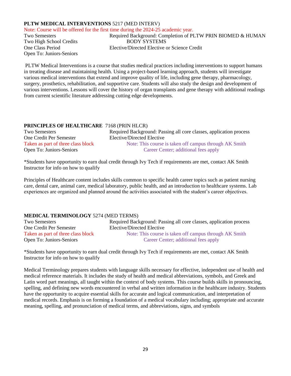### **PLTW MEDICAL INTERVENTIONS** 5217 (MED INTERV)

Note: Course will be offered for the first time during the 2024-25 academic year. Open To: Juniors-Seniors

Two Semesters **Required Background: Completion of PLTW PRIN BIOMED & HUMAN** Two High School Credits BODY SYSTEMS One Class Period Elective/Directed Elective or Science Credit

PLTW Medical Interventions is a course that studies medical practices including interventions to support humans in treating disease and maintaining health. Using a project-based learning approach, students will investigate various medical interventions that extend and improve quality of life, including gene therapy, pharmacology, surgery, prosthetics, rehabilitation, and supportive care. Students will also study the design and development of various interventions. Lessons will cover the history of organ transplants and gene therapy with additional readings from current scientific literature addressing cutting edge developments.

### **PRINCIPLES OF HEALTHCARE** 7168 (PRIN HLCR)

| <b>Two Semesters</b>               | Required Background: Passing all core classes, application process |
|------------------------------------|--------------------------------------------------------------------|
| One Credit Per Semester            | Elective/Directed Elective                                         |
| Taken as part of three class block | Note: This course is taken off campus through AK Smith             |
| Open To: Juniors-Seniors           | Career Center; additional fees apply                               |

\*Students have opportunity to earn dual credit through Ivy Tech if requirements are met, contact AK Smith Instructor for info on how to qualify

Principles of Healthcare content includes skills common to specific health career topics such as patient nursing care, dental care, animal care, medical laboratory, public health, and an introduction to healthcare systems. Lab experiences are organized and planned around the activities associated with the student's career objectives.

### **MEDICAL TERMINOLOGY** 5274 (MED TERMS)

| Two Semesters                      | Required Background: Passing all core classes, application process |
|------------------------------------|--------------------------------------------------------------------|
| One Credit Per Semester            | Elective/Directed Elective                                         |
| Taken as part of three class block | Note: This course is taken off campus through AK Smith             |
| Open To: Juniors-Seniors           | Career Center; additional fees apply                               |

\*Students have opportunity to earn dual credit through Ivy Tech if requirements are met, contact AK Smith Instructor for info on how to qualify

Medical Terminology prepares students with language skills necessary for effective, independent use of health and medical reference materials. It includes the study of health and medical abbreviations, symbols, and Greek and Latin word part meanings, all taught within the context of body systems. This course builds skills in pronouncing, spelling, and defining new words encountered in verbal and written information in the healthcare industry. Students have the opportunity to acquire essential skills for accurate and logical communication, and interpretation of medical records. Emphasis is on forming a foundation of a medical vocabulary including; appropriate and accurate meaning, spelling, and pronunciation of medical terms, and abbreviations, signs, and symbols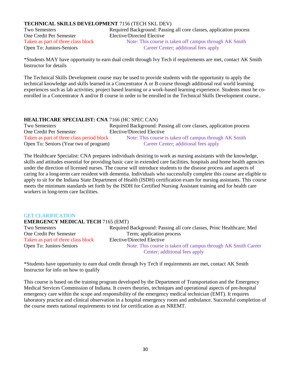### **TECHNICAL SKILLS DEVELOPMENT** 7156 (TECH SKL DEV)

One Credit Per Semester Elective/Directed Elective

Two Semesters Required Background: Passing all core classes, application process Taken as part of three class block Note: This course is taken off campus through AK Smith Open To: Juniors-Seniors Career Center; additional fees apply

\*Students MAY have opportunity to earn dual credit through Ivy Tech if requirements are met, contact AK Smith Instructor for details

The Technical Skills Development course may be used to provide students with the opportunity to apply the technical knowledge and skills learned in a Concentrator A or B course through additional real world learning experiences such as lab activities, project based learning or a work-based learning experience. Students must be coenrolled in a Concentrator A and/or B course in order to be enrolled in the Technical Skills Development course..

| <b>HEALTHCARE SPECIALIST: CNA 7166 (HC SPEC CAN)</b> |                                                                    |
|------------------------------------------------------|--------------------------------------------------------------------|
| Two Semesters                                        | Required Background: Passing all core classes, application process |
| One Credit Per Semester                              | Elective/Directed Elective                                         |
| Taken as part of three class period block            | Note: This course is taken off campus through AK Smith             |
| Open To: Seniors (Year two of program)               | Career Center; additional fees apply                               |

The Healthcare Specialist: CNA prepares individuals desiring to work as nursing assistants with the knowledge, skills and attitudes essential for providing basic care in extended care facilities, hospitals and home health agencies under the direction of licensed nurses. The course will introduce students to the disease process and aspects of caring for a long-term care resident with dementia. Individuals who successfully complete this course are eligible to apply to sit for the Indiana State Department of Health (ISDH) certification exam for nursing assistants. This course meets the minimum standards set forth by the ISDH for Certified Nursing Assistant training and for health care workers in long-term care facilities.

#### GET CLARIFICATION  $\overline{C}$

| <b>EMERGENCY MEDICAL TECH /165 (EMI)</b> |  |            |
|------------------------------------------|--|------------|
| <b>Two Semesters</b>                     |  | Required E |

One Credit Per Semester Term; application process Taken as part of three class block Elective/Directed Elective

Background: Passing all core classes, Princ Healthcare; Med Open To: Juniors-Seniors Note: This course is taken off campus through AK Smith Career Center; additional fees apply

\*Students have opportunity to earn dual credit through Ivy Tech if requirements are met, contact AK Smith Instructor for info on how to qualify

This course is based on the training program developed by the Department of Transportation and the Emergency Medical Services Commission of Indiana. It covers theories, techniques and operational aspects of pre-hospital emergency care within the scope and responsibility of the emergency medical technician (EMT). It requires laboratory practice and clinical observation in a hospital emergency room and ambulance. Successful completion of the course meets national requirements to test for certification as an NREMT.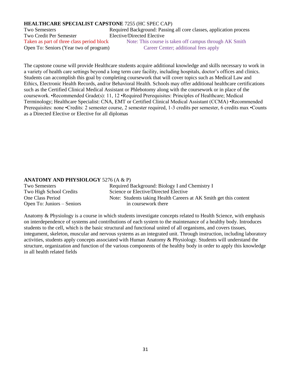### **HEALTHCARE SPECIALIST CAPSTONE** 7255 (HC SPEC CAP)

Two Semesters Required Background: Passing all core classes, application process Two Credit Per Semester Elective/Directed Elective Open To: Seniors (Year two of program) Career Center; additional fees apply

Taken as part of three class period block Note: This course is taken off campus through AK Smith

The capstone course will provide Healthcare students acquire additional knowledge and skills necessary to work in a variety of health care settings beyond a long term care facility, including hospitals, doctor's offices and clinics. Students can accomplish this goal by completing coursework that will cover topics such as Medical Law and Ethics, Electronic Health Records, and/or Behavioral Health. Schools may offer additional healthcare certifications such as the Certified Clinical Medical Assistant or Phlebotomy along with the coursework or in place of the coursework. •Recommended Grade(s): 11, 12 •Required Prerequisites: Principles of Healthcare; Medical Terminology; Healthcare Specialist: CNA, EMT or Certified Clinical Medical Assistant (CCMA) •Recommended Prerequisites: none •Credits: 2 semester course, 2 semester required, 1-3 credits per semester, 6 credits max •Counts as a Directed Elective or Elective for all diplomas

### **ANATOMY AND PHYSIOLOGY** 5276 (A & P)

| <b>Two Semesters</b>       | Required Background: Biology I and Chemistry I                    |
|----------------------------|-------------------------------------------------------------------|
| Two High School Credits    | Science or Elective/Directed Elective                             |
| One Class Period           | Note: Students taking Health Careers at AK Smith get this content |
| Open To: Juniors – Seniors | in coursework there                                               |
|                            |                                                                   |

Anatomy & Physiology is a course in which students investigate concepts related to Health Science, with emphasis on interdependence of systems and contributions of each system to the maintenance of a healthy body. Introduces students to the cell, which is the basic structural and functional united of all organisms, and covers tissues, integument, skeleton, muscular and nervous systems as an integrated unit. Through instruction, including laboratory activities, students apply concepts associated with Human Anatomy & Physiology. Students will understand the structure, organization and function of the various components of the healthy body in order to apply this knowledge in all health related fields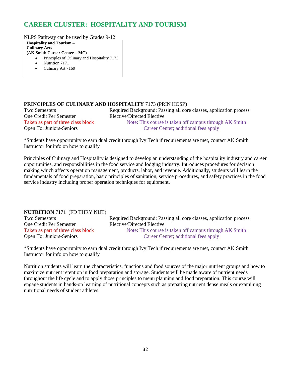### **CAREER CLUSTER: HOSPITALITY AND TOURISM**

NLPS Pathway can be used by Grades 9-12

**Hospitality and Tourism – Culinary Arts (AK Smith Career Center – MC)**

- Principles of Culinary and Hospitality 7173
- Nutrition 7171
- Culinary Art 7169

### **PRINCIPLES OF CULINARY AND HOSPITALITY** 7173 (PRIN HOSP)

One Credit Per Semester Elective/Directed Elective

Two Semesters Required Background: Passing all core classes, application process Taken as part of three class block Note: This course is taken off campus through AK Smith Open To: Juniors-Seniors Career Center; additional fees apply

\*Students have opportunity to earn dual credit through Ivy Tech if requirements are met, contact AK Smith Instructor for info on how to qualify

Principles of Culinary and Hospitality is designed to develop an understanding of the hospitality industry and career opportunities, and responsibilities in the food service and lodging industry. Introduces procedures for decision making which affects operation management, products, labor, and revenue. Additionally, students will learn the fundamentals of food preparation, basic principles of sanitation, service procedures, and safety practices in the food service industry including proper operation techniques for equipment.

### **NUTRITION** 7171 (FD THRY NUT)

One Credit Per Semester Elective/Directed Elective

Two Semesters Required Background: Passing all core classes, application process Taken as part of three class block Note: This course is taken off campus through AK Smith Open To: Juniors-Seniors Career Center; additional fees apply

\*Students have opportunity to earn dual credit through Ivy Tech if requirements are met, contact AK Smith Instructor for info on how to qualify

Nutrition students will learn the characteristics, functions and food sources of the major nutrient groups and how to maximize nutrient retention in food preparation and storage. Students will be made aware of nutrient needs throughout the life cycle and to apply those principles to menu planning and food preparation. This course will engage students in hands-on learning of nutritional concepts such as preparing nutrient dense meals or examining nutritional needs of student athletes.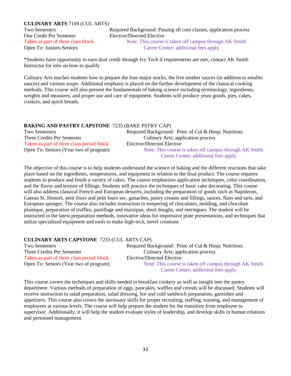### **CULINARY ARTS** 7169 (CUL ARTS)

One Credit Per Semester Elective/Directed Elective Open To: Juniors-Seniors Career Center; additional fees apply

Two Semesters Required Background: Passing all core classes, application process Taken as part of three class block Note: This course is taken off campus through AK Smith

\*Students have opportunity to earn dual credit through Ivy Tech if requirements are met, contact AK Smith Instructor for info on how to qualify

Culinary Arts teaches students how to prepare the four major stocks, the five mother sauces (in addition to smaller sauces) and various soups. Additional emphasis is placed on the further development of the classical cooking methods. This course will also present the fundamentals of baking science including terminology, ingredients, weights and measures, and proper use and care of equipment. Students will produce yeast goods, pies, cakes, cookies, and quick breads.

### **BAKING AND PASTRY CAPSTONE** 7235 (BAKE PSTRY CAP)

| <b>Two Semesters</b>                      | Required Background: Princ of Cul & Hosp; Nutrition;   |
|-------------------------------------------|--------------------------------------------------------|
| Three Credits Per Semester                | Culinary Arts; application process                     |
| Taken as part of three class period block | Elective/Directed Elective                             |
| Open To: Seniors (Year two of program)    | Note: This course is taken off campus through AK Smith |
|                                           | Career Center; additional fees apply                   |

The objective of this course is to help students understand the science of baking and the different reactions that take place based on the ingredients, temperatures, and equipment in relation to the final product. The course requires students to produce and finish a variety of cakes. The course emphasizes application techniques, color coordination, and the flavor and texture of fillings. Students will practice the techniques of basic cake decorating. This course will also address classical French and European desserts, including the preparation of goods such as Napoleons, Gateau St. Honoré, petit fours and petit fours sec, ganaches, pastry creams and fillings, sauces, flans and tarts, and European sponges. The course also includes instruction in tempering of chocolates, molding, and chocolate plastique, preparation of truffles, pastillage and marzipan, short doughs, and meringues. The student will be instructed in the latest preparation methods, innovative ideas for impressive plate presentations, and techniques that utilize specialized equipment and tools to make high-tech, novel creations

### **CULINARY ARTS CAPSTONE** 7233 (CUL ARTS CAP)

| <b>Two Semesters</b>                      | Required Background: Princ of Cul & Hosp; Nutrition;   |
|-------------------------------------------|--------------------------------------------------------|
| Three Credits Per Semester                | Culinary Arts; application process                     |
| Taken as part of three class period block | Elective/Directed Elective                             |
| Open To: Seniors (Year two of program)    | Note: This course is taken off campus through AK Smith |
|                                           | Career Center; additional fees apply                   |

This course covers the techniques and skills needed in breakfast cookery as well as insight into the pantry department. Various methods of preparation of eggs, pancakes, waffles and cereals will be discussed. Students will receive instruction in salad preparation, salad dressing, hot and cold sandwich preparation, garnishes and appetizers. This course also covers the necessary skills for proper recruiting, staffing, training, and management of employees at various levels. The course will help prepare the student for the transition from employee to supervisor. Additionally, it will help the student evaluate styles of leadership, and develop skills in human relations and personnel management.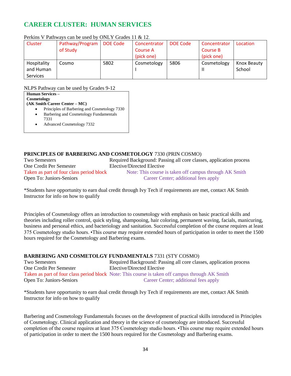### **CAREER CLUSTER: HUMAN SERVICES**

| <b>Cluster</b>  | Pathway/Program | <b>DOE Code</b> | Concentrator | DOE Code | Concentrator | Location    |
|-----------------|-----------------|-----------------|--------------|----------|--------------|-------------|
|                 | of Study        |                 | Course A     |          | Course B     |             |
|                 |                 |                 | (pick one)   |          | (pick one)   |             |
| Hospitality     | Cosmo           | 5802            | Cosmetology  | 5806     | Cosmetology  | Knox Beauty |
| and Human       |                 |                 |              |          |              | School      |
| <b>Services</b> |                 |                 |              |          |              |             |

### Perkins V Pathways can be used by ONLY Grades 11 & 12.

NLPS Pathway can be used by Grades 9-12

| <b>Human Services –</b>       |
|-------------------------------|
| Cosmetology                   |
| (AK Smith Career Center – MC) |

- Principles of Barbering and Cosmetology 7330
- Barbering and Cosmetology Fundamentals
- 7331 • Advanced Cosmetology 7332

### **PRINCIPLES OF BARBERING AND COSMETOLOGY** 7330 (PRIN COSMO)

Two Semesters Required Background: Passing all core classes, application process One Credit Per Semester Elective/Directed Elective Taken as part of four class period block Note: This course is taken off campus through AK Smith Open To: Juniors-Seniors Career Center; additional fees apply

\*Students have opportunity to earn dual credit through Ivy Tech if requirements are met, contact AK Smith Instructor for info on how to qualify

Principles of Cosmetology offers an introduction to cosmetology with emphasis on basic practical skills and theories including roller control, quick styling, shampooing, hair coloring, permanent waving, facials, manicuring, business and personal ethics, and bacteriology and sanitation. Successful completion of the course requires at least 375 Cosmetology studio hours. •This course may require extended hours of participation in order to meet the 1500 hours required for the Cosmetology and Barbering exams.

### **BARBERING AND COSMETOLGY FUNDAMENTALS** 7331 (STY COSMO)

| <b>Two Semesters</b>     | Required Background: Passing all core classes, application process                              |
|--------------------------|-------------------------------------------------------------------------------------------------|
| One Credit Per Semester  | Elective/Directed Elective                                                                      |
|                          | Taken as part of four class period block Note: This course is taken off campus through AK Smith |
| Open To: Juniors-Seniors | Career Center; additional fees apply                                                            |

\*Students have opportunity to earn dual credit through Ivy Tech if requirements are met, contact AK Smith Instructor for info on how to qualify

Barbering and Cosmetology Fundamentals focuses on the development of practical skills introduced in Principles of Cosmetology. Clinical application and theory in the science of cosmetology are introduced. Successful completion of the course requires at least 375 Cosmetology studio hours. •This course may require extended hours of participation in order to meet the 1500 hours required for the Cosmetology and Barbering exams.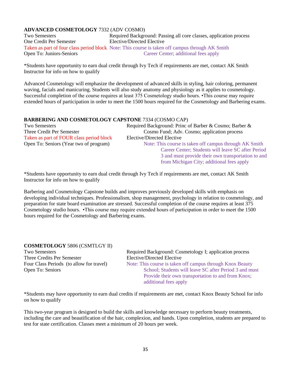### **ADVANCED COSMETOLOGY** 7332 (ADV COSMO)

| <b>Two Semesters</b>     | Required Background: Passing all core classes, application process                              |
|--------------------------|-------------------------------------------------------------------------------------------------|
| One Credit Per Semester  | Elective/Directed Elective                                                                      |
|                          | Taken as part of four class period block Note: This course is taken off campus through AK Smith |
| Open To: Juniors-Seniors | Career Center; additional fees apply                                                            |

\*Students have opportunity to earn dual credit through Ivy Tech if requirements are met, contact AK Smith Instructor for info on how to qualify

Advanced Cosmetology will emphasize the development of advanced skills in styling, hair coloring, permanent waving, facials and manicuring. Students will also study anatomy and physiology as it applies to cosmetology. Successful completion of the course requires at least 375 Cosmetology studio hours. •This course may require extended hours of participation in order to meet the 1500 hours required for the Cosmetology and Barbering exams.

### **BARBERING AND COSMETOLOGY CAPSTONE** 7334 (COSMO CAP)

| Two Semesters                            | Required Background: Princ of Barber & Cosmo; Barber & |
|------------------------------------------|--------------------------------------------------------|
| Three Credit Per Semester                | Cosmo Fund; Adv. Cosmo; application process            |
| Taken as part of FOUR class period block | Elective/Directed Elective                             |
| Open To: Seniors (Year two of program)   | Note: This course is taken off campus through AK Smith |
|                                          | Career Center; Students will leave SC after Period     |
|                                          | 3 and must provide their own transportation to and     |
|                                          | from Michigan City; additional fees apply              |

\*Students have opportunity to earn dual credit through Ivy Tech if requirements are met, contact AK Smith Instructor for info on how to qualify

Barbering and Cosmetology Capstone builds and improves previously developed skills with emphasis on developing individual techniques. Professionalism, shop management, psychology in relation to cosmetology, and preparation for state board examination are stressed. Successful completion of the course requires at least 375 Cosmetology studio hours. •This course may require extended hours of participation in order to meet the 1500 hours required for the Cosmetology and Barbering exams.

### **COSMETOLOGY** 5806 (CSMTLGY II)

Three Credits Per Semester Elective/Directed Elective

Two Semesters Required Background: Cosmetology I; application process Four Class Periods (to allow for travel) Note: This course is taken off campus through Knox Beauty Open To: Seniors School; Students will leave SC after Period 3 and must Provide their own transportation to and from Knox; additional fees apply

\*Students may have opportunity to earn dual credits if requirements are met, contact Knox Beauty School for info on how to qualify

This two-year program is designed to build the skills and knowledge necessary to perform beauty treatments, including the care and beautification of the hair, complexion, and hands. Upon completion, students are prepared to test for state certification. Classes meet a minimum of 20 hours per week.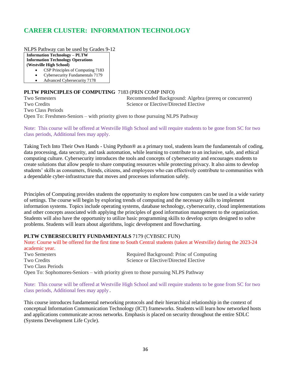### **CAREER CLUSTER: INFORMATION TECHNOLOGY**

NLPS Pathway can be used by Grades 9-12

**Information Technology – PLTW Information Technology Operations (Westville High School)**

- CSP Principles of Computing 7183
- Cybersecurity Fundamentals 7179
- Advanced Cybersecurity 7178

### **PLTW PRINCIPLES OF COMPUTING** 7183 (PRIN COMP INFO)

Two Semesters Recommended Background: Algebra (prereq or concurrent) Two Credits Science or Elective/Directed Elective Two Class Periods Open To: Freshmen-Seniors – with priority given to those pursuing NLPS Pathway

Note: This course will be offered at Westville High School and will require students to be gone from SC for two class periods, Additional fees may apply.

Taking Tech Into Their Own Hands - Using Python® as a primary tool, students learn the fundamentals of coding, data processing, data security, and task automation, while learning to contribute to an inclusive, safe, and ethical computing culture. Cybersecurity introduces the tools and concepts of cybersecurity and encourages students to create solutions that allow people to share computing resources while protecting privacy. It also aims to develop students' skills as consumers, friends, citizens, and employees who can effectively contribute to communities with a dependable cyber-infrastructure that moves and processes information safely.

Principles of Computing provides students the opportunity to explore how computers can be used in a wide variety of settings. The course will begin by exploring trends of computing and the necessary skills to implement information systems. Topics include operating systems, database technology, cybersecurity, cloud implementations and other concepts associated with applying the principles of good information management to the organization. Students will also have the opportunity to utilize basic programming skills to develop scripts designed to solve problems. Students will learn about algorithms, logic development and flowcharting.

#### **PLTW CYBERSECURITY FUNDAMENTALS** 7179 (CYBSEC FUN)

Note: Course will be offered for the first time to South Central students (taken at Westville) during the 2023-24 academic year. Two Semesters Required Background: Princ of Computing Two Credits Science or Elective/Directed Elective Two Class Periods Open To: Sophomores-Seniors – with priority given to those pursuing NLPS Pathway

Note: This course will be offered at Westville High School and will require students to be gone from SC for two class periods, Additional fees may apply .

This course introduces fundamental networking protocols and their hierarchical relationship in the context of conceptual Information Communication Technology (ICT) frameworks. Students will learn how networked hosts and applications communicate across networks. Emphasis is placed on security throughout the entire SDLC (Systems Development Life Cycle).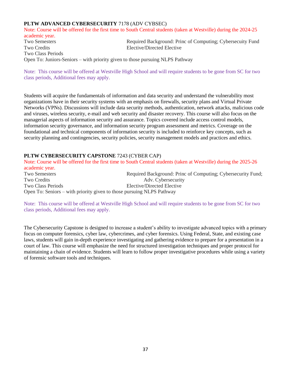### **PLTW ADVANCED CYBERSECURITY** 7178 (ADV CYBSEC)

Note: Course will be offered for the first time to South Central students (taken at Westville) during the 2024-25 academic year.

Two Semesters Required Background: Princ of Computing; Cybersecuity Fund Two Credits Elective/Directed Elective Two Class Periods Open To: Juniors-Seniors – with priority given to those pursuing NLPS Pathway

Note: This course will be offered at Westville High School and will require students to be gone from SC for two class periods, Additional fees may apply.

Students will acquire the fundamentals of information and data security and understand the vulnerability most organizations have in their security systems with an emphasis on firewalls, security plans and Virtual Private Networks (VPNs). Discussions will include data security methods, authentication, network attacks, malicious code and viruses, wireless security, e-mail and web security and disaster recovery. This course will also focus on the managerial aspects of information security and assurance. Topics covered include access control models, information security governance, and information security program assessment and metrics. Coverage on the foundational and technical components of information security is included to reinforce key concepts, such as security planning and contingencies, security policies, security management models and practices and ethics.

### **PLTW CYBERSECURITY CAPSTONE** 7243 (CYBER CAP)

Note: Course will be offered for the first time to South Central students (taken at Westville) during the 2025-26 academic year. Two Semesters **Required Background: Princ of Computing; Cybersecurity Fund;**  $\blacksquare$ Two Credits Adv. Cybersecurity Two Class Periods Elective/Directed Elective Open To: Seniors – with priority given to those pursuing NLPS Pathway

Note: This course will be offered at Westville High School and will require students to be gone from SC for two class periods, Additional fees may apply.

The Cybersecurity Capstone is designed to increase a student's ability to investigate advanced topics with a primary focus on computer forensics, cyber law, cybercrimes, and cyber forensics. Using Federal, State, and existing case laws, students will gain in-depth experience investigating and gathering evidence to prepare for a presentation in a court of law. This course will emphasize the need for structured investigation techniques and proper protocol for maintaining a chain of evidence. Students will learn to follow proper investigative procedures while using a variety of forensic software tools and techniques.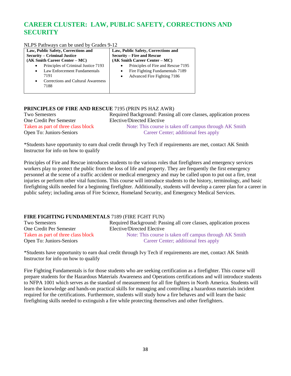### **CAREER CLUSTER: LAW, PUBLIC SAFETY, CORRECTIONS AND SECURITY**

NLPS Pathways can be used by Grades 9-12

| Law, Public Safety, Corrections and                                                                                                                              | Law, Public Safety, Corrections and                                                                                            |  |
|------------------------------------------------------------------------------------------------------------------------------------------------------------------|--------------------------------------------------------------------------------------------------------------------------------|--|
| <b>Security – Criminal Justice</b>                                                                                                                               | <b>Security – Fire and Rescue</b>                                                                                              |  |
| (AK Smith Career Center – MC)                                                                                                                                    | (AK Smith Career Center – MC)                                                                                                  |  |
| Principles of Criminal Justice 7193<br>$\bullet$<br>Law Enforcement Fundamentals<br>$\bullet$<br>7191<br>Corrections and Cultural Awareness<br>$\bullet$<br>7188 | Principles of Fire and Rescue 7195<br>Fire Fighting Fundamentals 7189<br>$\bullet$<br>Advanced Fire Fighting 7186<br>$\bullet$ |  |
|                                                                                                                                                                  |                                                                                                                                |  |

### **PRINCIPLES OF FIRE AND RESCUE** 7195 (PRIN PS HAZ AWR)

| <b>Two Semesters</b>               | Required Background: Passing all core classes, application process |
|------------------------------------|--------------------------------------------------------------------|
| One Credit Per Semester            | Elective/Directed Elective                                         |
| Taken as part of three class block | Note: This course is taken off campus through AK Smith             |
| Open To: Juniors-Seniors           | Career Center; additional fees apply                               |

\*Students have opportunity to earn dual credit through Ivy Tech if requirements are met, contact AK Smith Instructor for info on how to qualify

Principles of Fire and Rescue introduces students to the various roles that firefighters and emergency services workers play to protect the public from the loss of life and property. They are frequently the first emergency personnel at the scene of a traffic accident or medical emergency and may be called upon to put out a fire, treat injuries or perform other vital functions. This course will introduce students to the history, terminology, and basic firefighting skills needed for a beginning firefighter. Additionally, students will develop a career plan for a career in public safety; including areas of Fire Science, Homeland Security, and Emergency Medical Services.

### **FIRE FIGHTING FUNDAMENTALS** 7189 (FIRE FGHT FUN)

Open To: Juniors-Seniors Career Center; additional fees apply

Two Semesters Required Background: Passing all core classes, application process<br>
One Credit Per Semester Elective/Directed Elective Elective/Directed Elective Taken as part of three class block Note: This course is taken off campus through AK Smith

\*Students have opportunity to earn dual credit through Ivy Tech if requirements are met, contact AK Smith Instructor for info on how to qualify

Fire Fighting Fundamentals is for those students who are seeking certification as a firefighter. This course will prepare students for the Hazardous Materials Awareness and Operations certifications and will introduce students to NFPA 1001 which serves as the standard of measurement for all fire fighters in North America. Students will learn the knowledge and hands-on practical skills for managing and controlling a hazardous materials incident required for the certifications. Furthermore, students will study how a fire behaves and will learn the basic firefighting skills needed to extinguish a fire while protecting themselves and other firefighters.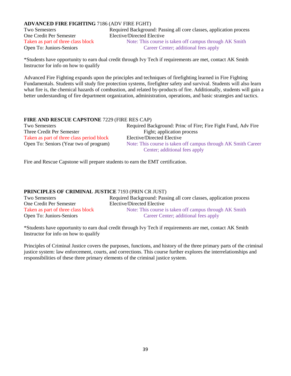### **ADVANCED FIRE FIGHTING** 7186 (ADV FIRE FGHT)

One Credit Per Semester Elective/Directed Elective Open To: Juniors-Seniors Career Center; additional fees apply

Two Semesters Required Background: Passing all core classes, application process Taken as part of three class block Note: This course is taken off campus through AK Smith

\*Students have opportunity to earn dual credit through Ivy Tech if requirements are met, contact AK Smith Instructor for info on how to qualify

Advanced Fire Fighting expands upon the principles and techniques of firefighting learned in Fire Fighting Fundamentals. Students will study fire protection systems, firefighter safety and survival. Students will also learn what fire is, the chemical hazards of combustion, and related by-products of fire. Additionally, students will gain a better understanding of fire department organization, administration, operations, and basic strategies and tactics.

### **FIRE AND RESCUE CAPSTONE** 7229 (FIRE RES CAP)

| Two Semesters                             | Required Background: Princ of Fire; Fire Fight Fund, Adv Fire |
|-------------------------------------------|---------------------------------------------------------------|
| Three Credit Per Semester                 | Fight; application process                                    |
| Taken as part of three class period block | Elective/Directed Elective                                    |
| Open To: Seniors (Year two of program)    | Note: This course is taken off campus through AK Smith Career |
|                                           | Center; additional fees apply                                 |

Fire and Rescue Capstone will prepare students to earn the EMT certification.

### **PRINCIPLES OF CRIMINAL JUSTICE** 7193 (PRIN CR JUST)

| <b>Two Semesters</b>               | Required Background: Passing all core classes, application process |
|------------------------------------|--------------------------------------------------------------------|
| One Credit Per Semester            | Elective/Directed Elective                                         |
| Taken as part of three class block | Note: This course is taken off campus through AK Smith             |
| Open To: Juniors-Seniors           | Career Center; additional fees apply                               |

\*Students have opportunity to earn dual credit through Ivy Tech if requirements are met, contact AK Smith Instructor for info on how to qualify

Principles of Criminal Justice covers the purposes, functions, and history of the three primary parts of the criminal justice system: law enforcement, courts, and corrections. This course further explores the interrelationships and responsibilities of these three primary elements of the criminal justice system.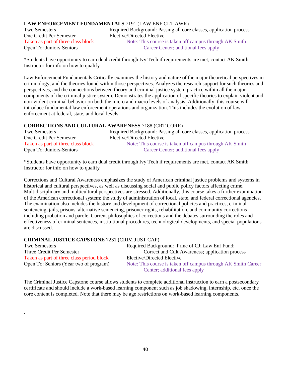### **LAW ENFORCEMENT FUNDAMENTALS** 7191 (LAW ENF CLT AWR)

One Credit Per Semester Elective/Directed Elective Open To: Juniors-Seniors Career Center; additional fees apply

Two Semesters Required Background: Passing all core classes, application process Taken as part of three class block Note: This course is taken off campus through AK Smith

\*Students have opportunity to earn dual credit through Ivy Tech if requirements are met, contact AK Smith Instructor for info on how to qualify

Law Enforcement Fundamentals Critically examines the history and nature of the major theoretical perspectives in criminology, and the theories found within those perspectives. Analyzes the research support for such theories and perspectives, and the connections between theory and criminal justice system practice within all the major components of the criminal justice system. Demonstrates the application of specific theories to explain violent and non-violent criminal behavior on both the micro and macro levels of analysis. Additionally, this course will introduce fundamental law enforcement operations and organization. This includes the evolution of law enforcement at federal, state, and local levels.

### **CORRECTIONS AND CULTURAL AWARENESS** 7188 (CRT CORR)

| <b>Two Semesters</b>               | Required Background: Passing all core classes, application process |
|------------------------------------|--------------------------------------------------------------------|
| One Credit Per Semester            | Elective/Directed Elective                                         |
| Taken as part of three class block | Note: This course is taken off campus through AK Smith             |
| Open To: Juniors-Seniors           | Career Center; additional fees apply                               |

\*Students have opportunity to earn dual credit through Ivy Tech if requirements are met, contact AK Smith Instructor for info on how to qualify

Corrections and Cultural Awareness emphasizes the study of American criminal justice problems and systems in historical and cultural perspectives, as well as discussing social and public policy factors affecting crime. Multidisciplinary and multicultural perspectives are stressed. Additionally, this course takes a further examination of the American correctional system; the study of administration of local, state, and federal correctional agencies. The examination also includes the history and development of correctional policies and practices, criminal sentencing, jails, prisons, alternative sentencing, prisoner rights, rehabilitation, and community corrections including probation and parole. Current philosophies of corrections and the debates surrounding the roles and effectiveness of criminal sentences, institutional procedures, technological developments, and special populations are discussed.

### **CRIMINAL JUSTICE CAPSTONE** 7231 (CRIM JUST CAP)

.

| <b>Two Semesters</b>                      | Required Background: Princ of CJ; Law Enf Fund;               |
|-------------------------------------------|---------------------------------------------------------------|
| Three Credit Per Semester                 | Correct and Cult Awareness; application process               |
| Taken as part of three class period block | Elective/Directed Elective                                    |
| Open To: Seniors (Year two of program)    | Note: This course is taken off campus through AK Smith Career |
|                                           | Center; additional fees apply                                 |

The Criminal Justice Capstone course allows students to complete additional instruction to earn a postsecondary certificate and should include a work-based learning component such as job shadowing, internship, etc. once the core content is completed. Note that there may be age restrictions on work-based learning components.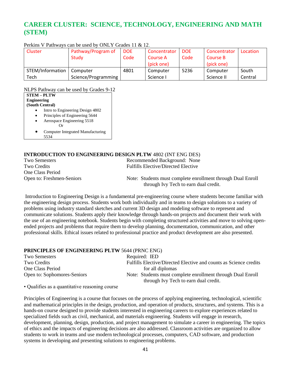### **CAREER CLUSTER: SCIENCE, TECHNOLOGY, ENGINEERING AND MATH (STEM)**

| Cluster          | Pathway/Program of  | DOE. | Concentrator | <b>DOE</b> | Concentrator | Location |
|------------------|---------------------|------|--------------|------------|--------------|----------|
|                  | <b>Study</b>        | Code | Course A     | Code       | Course B     |          |
|                  |                     |      | (pick one)   |            | (pick one)   |          |
| STEM/Information | Computer            | 4801 | Computer     | 5236       | Computer     | South    |
| Tech             | Science/Programming |      | Science I    |            | Science II   | Central  |

Perkins V Pathways can be used by ONLY Grades 11 & 12.

NLPS Pathway can be used by Grades 9-12

|                    | TYLET S I alliway call be used by Grades 7-12 |
|--------------------|-----------------------------------------------|
|                    | <b>STEM - PLTW</b>                            |
| <b>Engineering</b> |                                               |
|                    | (South Central)                               |
|                    | Intro to Engineering Design 4802              |
|                    | Principles of Engineering 5644                |
|                    | Aerospace Engineering 5518                    |
|                    |                                               |
|                    | Computer Integrated Manufacturing             |
|                    | 5534                                          |

### **INTRODUCTION TO ENGINEERING DESIGN PLTW** 4802 (INT ENG DES)

| Two Semesters             | Recommended Background: None                                                                         |
|---------------------------|------------------------------------------------------------------------------------------------------|
| Two Credits               | <b>Fulfills Elective/Directed Elective</b>                                                           |
| One Class Period          |                                                                                                      |
| Open to: Freshmen-Seniors | Note: Students must complete enrollment through Dual Enroll<br>through Ivy Tech to earn dual credit. |
|                           |                                                                                                      |

Introduction to Engineering Design is a fundamental pre-engineering course where students become familiar with the engineering design process. Students work both individually and in teams to design solutions to a variety of problems using industry standard sketches and current 3D design and modeling software to represent and communicate solutions. Students apply their knowledge through hands-on projects and document their work with the use of an engineering notebook. Students begin with completing structured activities and move to solving openended projects and problems that require them to develop planning, documentation, communication, and other professional skills. Ethical issues related to professional practice and product development are also presented.

### **PRINCIPLES OF ENGINEERING PLTW** 5644 (PRNC ENG)

| Two Semesters               | Required: IED                                                     |
|-----------------------------|-------------------------------------------------------------------|
| Two Credits                 | Fulfills Elective/Directed Elective and counts as Science credits |
| One Class Period            | for all diplomas                                                  |
| Open to: Sophomores-Seniors | Note: Students must complete enrollment through Dual Enroll       |
|                             | through Ivy Tech to earn dual credit.                             |

• Qualifies as a quantitative reasoning course

Principles of Engineering is a course that focuses on the process of applying engineering, technological, scientific and mathematical principles in the design, production, and operation of products, structures, and systems. This is a hands-on course designed to provide students interested in engineering careers to explore experiences related to specialized fields such as civil, mechanical, and materials engineering. Students will engage in research, development, planning, design, production, and project management to simulate a career in engineering. The topics of ethics and the impacts of engineering decisions are also addressed. Classroom activities are organized to allow students to work in teams and use modern technological processes, computers, CAD software, and production systems in developing and presenting solutions to engineering problems.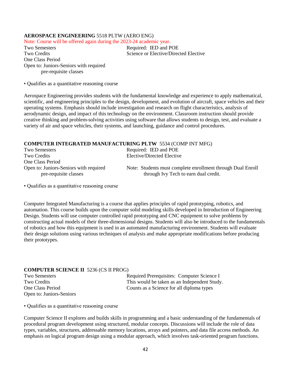### **AEROSPACE ENGINEERING** 5518 PLTW (AERO ENG)

Note: Course will be offered again during the 2023-24 academic year.

Two Semesters Required: IED and POE Two Credits Science or Elective/Directed Elective One Class Period Open to: Juniors-Seniors with required pre-requisite classes

• Qualifies as a quantitative reasoning course

Aerospace Engineering provides students with the fundamental knowledge and experience to apply mathematical, scientific, and engineering principles to the design, development, and evolution of aircraft, space vehicles and their operating systems. Emphasis should include investigation and research on flight characteristics, analysis of aerodynamic design, and impact of this technology on the environment. Classroom instruction should provide creative thinking and problem-solving activities using software that allows students to design, test, and evaluate a variety of air and space vehicles, their systems, and launching, guidance and control procedures.

### **COMPUTER INTEGRATED MANUFACTURING PLTW** 5534 (COMP INT MFG)

| Two Semesters                                                   | Required: IED and POE                                                                                |
|-----------------------------------------------------------------|------------------------------------------------------------------------------------------------------|
| Two Credits                                                     | Elective/Directed Elective                                                                           |
| One Class Period                                                |                                                                                                      |
| Open to: Juniors-Seniors with required<br>pre-requisite classes | Note: Students must complete enrollment through Dual Enroll<br>through Ivy Tech to earn dual credit. |

• Qualifies as a quantitative reasoning course

Computer Integrated Manufacturing is a course that applies principles of rapid prototyping, robotics, and automation. This course builds upon the computer solid modeling skills developed in Introduction of Engineering Design. Students will use computer controlled rapid prototyping and CNC equipment to solve problems by constructing actual models of their three-dimensional designs. Students will also be introduced to the fundamentals of robotics and how this equipment is used in an automated manufacturing environment. Students will evaluate their design solutions using various techniques of analysis and make appropriate modifications before producing their prototypes.

### **COMPUTER SCIENCE II** 5236 (CS II PROG)

Open to: Juniors-Seniors

Two Semesters **Required Prerequisites: Computer Science I** Two Credits This would be taken as an Independent Study. One Class Period Counts as a Science for all diploma types

• Qualifies as a quantitative reasoning course

Computer Science II explores and builds skills in programming and a basic understanding of the fundamentals of procedural program development using structured, modular concepts. Discussions will include the role of data types, variables, structures, addressable memory locations, arrays and pointers, and data file access methods. An emphasis on logical program design using a modular approach, which involves task-oriented program functions.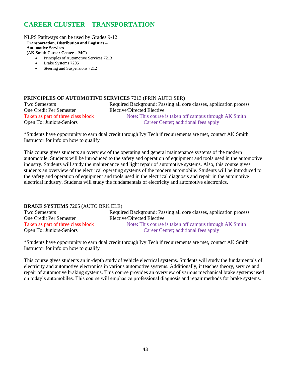### **CAREER CLUSTER – TRANSPORTATION**

NLPS Pathways can be used by Grades 9-12

**Transportation, Distribution and Logistics –**

**Automotive Services**

- **(AK Smith Career Center – MC)** • Principles of Automotive Services 7213
	- Brake Systems 7205
	- Steering and Suspensions 7212

### **PRINCIPLES OF AUTOMOTIVE SERVICES** 7213 (PRIN AUTO SER)

Two Semesters Required Background: Passing all core classes, application process One Credit Per Semester Elective/Directed Elective

Taken as part of three class block Note: This course is taken off campus through AK Smith Open To: Juniors-Seniors Career Center; additional fees apply

\*Students have opportunity to earn dual credit through Ivy Tech if requirements are met, contact AK Smith Instructor for info on how to qualify

This course gives students an overview of the operating and general maintenance systems of the modern automobile. Students will be introduced to the safety and operation of equipment and tools used in the automotive industry. Students will study the maintenance and light repair of automotive systems. Also, this course gives students an overview of the electrical operating systems of the modern automobile. Students will be introduced to the safety and operation of equipment and tools used in the electrical diagnosis and repair in the automotive electrical industry. Students will study the fundamentals of electricity and automotive electronics.

### **BRAKE SYSTEMS** 7205 (AUTO BRK ELE)

Two Semesters Required Background: Passing all core classes, application process One Credit Per Semester Elective/Directed Elective Taken as part of three class block Note: This course is taken off campus through AK Smith Open To: Juniors-Seniors Career Center; additional fees apply

\*Students have opportunity to earn dual credit through Ivy Tech if requirements are met, contact AK Smith Instructor for info on how to qualify

This course gives students an in-depth study of vehicle electrical systems. Students will study the fundamentals of electricity and automotive electronics in various automotive systems. Additionally, it teaches theory, service and repair of automotive braking systems. This course provides an overview of various mechanical brake systems used on today's automobiles. This course will emphasize professional diagnosis and repair methods for brake systems.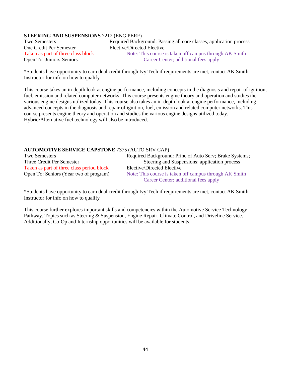### **STEERING AND SUSPENSIONS** 7212 (ENG PERF)

One Credit Per Semester Elective/Directed Elective

Two Semesters Required Background: Passing all core classes, application process Taken as part of three class block Note: This course is taken off campus through AK Smith Open To: Juniors-Seniors Career Center; additional fees apply

\*Students have opportunity to earn dual credit through Ivy Tech if requirements are met, contact AK Smith Instructor for info on how to qualify

This course takes an in-depth look at engine performance, including concepts in the diagnosis and repair of ignition, fuel, emission and related computer networks. This course presents engine theory and operation and studies the various engine designs utilized today. This course also takes an in-depth look at engine performance, including advanced concepts in the diagnosis and repair of ignition, fuel, emission and related computer networks. This course presents engine theory and operation and studies the various engine designs utilized today. Hybrid/Alternative fuel technology will also be introduced.

### **AUTOMOTIVE SERVICE CAPSTONE** 7375 (AUTO SRV CAP)

| Two Semesters                             | Required Background: Princ of Auto Serv; Brake Systems; |
|-------------------------------------------|---------------------------------------------------------|
| Three Credit Per Semester                 | Steering and Suspensions: application process           |
| Taken as part of three class period block | Elective/Directed Elective                              |
| Open To: Seniors (Year two of program)    | Note: This course is taken off campus through AK Smith  |
|                                           | Career Center; additional fees apply                    |

\*Students have opportunity to earn dual credit through Ivy Tech if requirements are met, contact AK Smith Instructor for info on how to qualify

This course further explores important skills and competencies within the Automotive Service Technology Pathway. Topics such as Steering & Suspension, Engine Repair, Climate Control, and Driveline Service. Additionally, Co-Op and Internship opportunities will be available for students.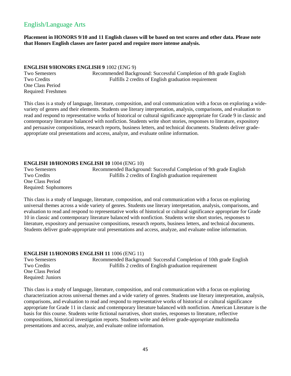### English/Language Arts

**Placement in HONORS 9/10 and 11 English classes will be based on test scores and other data. Please note that Honors English classes are faster paced and require more intense analysis.**

### **ENGLISH 9/HONORS ENGLISH 9** 1002 (ENG 9)

One Class Period Required: Freshmen

Two Semesters Recommended Background: Successful Completion of 8th grade English Two Credits Fulfills 2 credits of English graduation requirement

This class is a study of language, literature, composition, and oral communication with a focus on exploring a widevariety of genres and their elements. Students use literary interpretation, analysis, comparisons, and evaluation to read and respond to representative works of historical or cultural significance appropriate for Grade 9 in classic and contemporary literature balanced with nonfiction. Students write short stories, responses to literature, expository and persuasive compositions, research reports, business letters, and technical documents. Students deliver gradeappropriate oral presentations and access, analyze, and evaluate online information.

### **ENGLISH 10/HONORS ENGLISH 10** 1004 (ENG 10)

Two Semesters Recommended Background: Successful Completion of 9th grade English Two Credits Fulfills 2 credits of English graduation requirement One Class Period Required: Sophomores

This class is a study of language, literature, composition, and oral communication with a focus on exploring universal themes across a wide variety of genres. Students use literary interpretation, analysis, comparisons, and evaluation to read and respond to representative works of historical or cultural significance appropriate for Grade 10 in classic and contemporary literature balanced with nonfiction. Students write short stories, responses to literature, expository and persuasive compositions, research reports, business letters, and technical documents. Students deliver grade-appropriate oral presentations and access, analyze, and evaluate online information.

### **ENGLISH 11/HONORS ENGLISH 11** 1006 (ENG 11)

One Class Period Required: Juniors

Two Semesters Recommended Background: Successful Completion of 10th grade English Two Credits **Fulfills 2** credits of English graduation requirement

This class is a study of language, literature, composition, and oral communication with a focus on exploring characterization across universal themes and a wide variety of genres. Students use literary interpretation, analysis, comparisons, and evaluation to read and respond to representative works of historical or cultural significance appropriate for Grade 11 in classic and contemporary literature balanced with nonfiction. American Literature is the basis for this course. Students write fictional narratives, short stories, responses to literature, reflective compositions, historical investigation reports. Students write and deliver grade-appropriate multimedia presentations and access, analyze, and evaluate online information.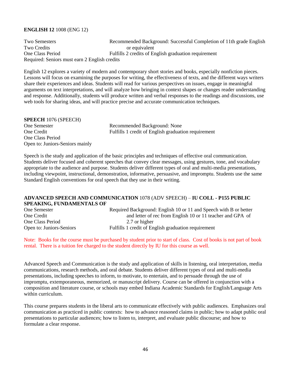### **ENGLISH 12** 1008 (ENG 12)

Two Semesters Recommended Background: Successful Completion of 11th grade English Two Credits or equivalent One Class Period Fulfills 2 credits of English graduation requirement Required: Seniors must earn 2 English credits

English 12 explores a variety of modern and contemporary short stories and books, especially nonfiction pieces. Lessons will focus on examining the purposes for writing, the effectiveness of texts, and the different ways writers share their experiences and ideas. Students will read for various perspectives on issues, engage in meaningful arguments on text interpretations, and will analyze how bringing in context shapes or changes reader understanding and response. Additionally, students will produce written and verbal responses to the readings and discussions, use web tools for sharing ideas, and will practice precise and accurate communication techniques*.*

| <b>SPEECH 1076 (SPEECH)</b>     |                                                     |
|---------------------------------|-----------------------------------------------------|
| One Semester                    | Recommended Background: None                        |
| One Credit                      | Fulfills 1 credit of English graduation requirement |
| One Class Period                |                                                     |
| Open to: Juniors-Seniors mainly |                                                     |

Speech is the study and application of the basic principles and techniques of effective oral communication. Students deliver focused and coherent speeches that convey clear messages, using gestures, tone, and vocabulary appropriate to the audience and purpose. Students deliver different types of oral and multi-media presentations, including viewpoint, instructional, demonstration, informative, persuasive, and impromptu. Students use the same Standard English conventions for oral speech that they use in their writing.

### **ADVANCED SPEECH AND COMMUNICATION** 1078 (ADV SPEECH) – **IU COLL - P155 PUBLIC SPEAKING, FUNDAMENTALS OF**

| One Semester             | Required Background: English 10 or 11 and Speech with B or better |
|--------------------------|-------------------------------------------------------------------|
| One Credit               | and letter of rec from English 10 or 11 teacher and GPA of        |
| One Class Period         | 2.7 or higher                                                     |
| Open to: Juniors-Seniors | Fulfills 1 credit of English graduation requirement               |

Note: Books for the course must be purchased by student prior to start of class. Cost of books is not part of book rental. There is a tuition fee charged to the student directly by IU for this course as well.

Advanced Speech and Communication is the study and application of skills in listening, oral interpretation, media communications, research methods, and oral debate. Students deliver different types of oral and multi-media presentations, including speeches to inform, to motivate, to entertain, and to persuade through the use of impromptu, extemporaneous, memorized, or manuscript delivery. Course can be offered in conjunction with a composition and literature course, or schools may embed Indiana Academic Standards for English/Language Arts within curriculum.

This course prepares students in the liberal arts to communicate effectively with public audiences. Emphasizes oral communication as practiced in public contexts: how to advance reasoned claims in public; how to adapt public oral presentations to particular audiences; how to listen to, interpret, and evaluate public discourse; and how to formulate a clear response.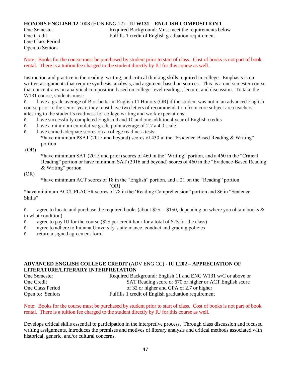### **HONORS ENGLISH 12** 1008 (HON ENG 12) **- IU W131 – ENGLISH COMPOSITION 1**

One Class Period Open to Seniors

One Semester Required Background: Must meet the requirements below One Credit Fulfills 1 credit of English graduation requirement

Note: Books for the course must be purchased by student prior to start of class. Cost of books is not part of book rental. There is a tuition fee charged to the student directly by IU for this course as well.

Instruction and practice in the reading, writing, and critical thinking skills required in college. Emphasis is on written assignments that require synthesis, analysis, and argument based on sources. This is a one-semester course that concentrates on analytical composition based on college-level readings, lecture, and discussion. To take the W131 course, students must:

ð have a grade average of B or better in English 11 Honors (OR) if the student was not in an advanced English course prior to the senior year, they must have two letters of recommendation from core subject area teachers attesting to the student's readiness for college writing and work expectations.

- ð have successfully completed English 9 and 10 and one additional year of English credits
- ð have a minimum cumulative grade point average of 2.7 a 4.0 scale
- ð have earned adequate scores on a college readiness tests:

\*have minimum PSAT (2015 and beyond) scores of 430 in the "Evidence-Based Reading & Writing" portion

(OR)

\*have minimum SAT (2015 and prior) scores of 460 in the "Writing" portion, and a 460 in the "Critical Reading" portion or have minimum SAT (2016 and beyond) scores of 460 in the "Evidence-Based Reading & Writing" portion

(OR)

\*have minimum ACT scores of 18 in the "English" portion, and a 21 on the "Reading" portion (OR)

\*have minimum ACCUPLACER scores of 78 in the 'Reading Comprehension" portion and 86 in "Sentence Skills"

 $\delta$  agree to locate and purchase the required books (about \$25 -- \$150, depending on where you obtain books & in what condition)

- ð agree to pay IU for the course (\$25 per credit hour for a total of \$75 for the class)
- ð agree to adhere to Indiana University's attendance, conduct and grading policies
- ð return a signed agreement form"

### **ADVANCED ENGLISH COLLEGE CREDIT** (ADV ENG CC) **- IU L202 – APPRECIATION OF LITERATURE/LITERARY INTERPRETATION**

| One Semester     | Required Background: English 11 and ENG W131 w/C or above or |
|------------------|--------------------------------------------------------------|
| One Credit       | SAT Reading score or 670 or higher or ACT English score      |
| One Class Period | of 32 or higher and GPA of 2.7 or higher                     |
| Open to: Seniors | Fulfills 1 credit of English graduation requirement          |

Note: Books for the course must be purchased by student prior to start of class. Cost of books is not part of book rental. There is a tuition fee charged to the student directly by IU for this course as well.

Develops critical skills essential to participation in the interpretive process. Through class discussion and focused writing assignments, introduces the premises and motives of literary analysis and critical methods associated with historical, generic, and/or cultural concerns.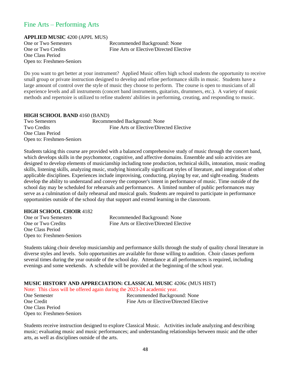### Fine Arts – Performing Arts

**APPLIED MUSIC** 4200 (APPL MUS)

One Class Period Open to: Freshmen-Seniors

One or Two Semesters Recommended Background: None One or Two Credits Fine Arts or Elective/Directed Elective

Do you want to get better at your instrument? Applied Music offers high school students the opportunity to receive small group or private instruction designed to develop and refine performance skills in music. Students have a large amount of control over the style of music they choose to perform. The course is open to musicians of all experience levels and all instruments (concert band instruments, guitarists, drummers, etc.). A variety of music methods and repertoire is utilized to refine students' abilities in performing, creating, and responding to music.

### **HIGH SCHOOL BAND** 4160 (BAND)

Two Semesters Recommended Background: None Two Credits **Fine Arts** or Elective/Directed Elective One Class Period Open to: Freshmen-Seniors

Students taking this course are provided with a balanced comprehensive study of music through the concert band, which develops skills in the psychomotor, cognitive, and affective domains. Ensemble and solo activities are designed to develop elements of musicianship including tone production, technical skills, intonation, music reading skills, listening skills, analyzing music, studying historically significant styles of literature, and integration of other applicable disciplines. Experiences include improvising, conducting, playing by ear, and sight-reading. Students develop the ability to understand and convey the composer's intent in performance of music. Time outside of the school day may be scheduled for rehearsals and performances. A limited number of public performances may serve as a culmination of daily rehearsal and musical goals. Students are required to participate in performance opportunities outside of the school day that support and extend learning in the classroom.

### **HIGH SCHOOL CHOIR** 4182

One Class Period Open to: Freshmen-Seniors

One or Two Semesters Recommended Background: None One or Two Credits Fine Arts or Elective/Directed Elective

Students taking choir develop musicianship and performance skills through the study of quality choral literature in diverse styles and levels. Solo opportunities are available for those willing to audition. Choir classes perform several times during the year outside of the school day. Attendance at all performances is required, including evenings and some weekends. A schedule will be provided at the beginning of the school year.

### **MUSIC HISTORY AND APPRECIATION: CLASSICAL MUSIC** 4206c (MUS HIST)

Note: This class will be offered again during the 2023-24 academic year.

One Semester Recommended Background: None One Credit Fine Arts or Elective/Directed Elective One Class Period Open to: Freshmen-Seniors

Students receive instruction designed to explore Classical Music. Activities include analyzing and describing music; evaluating music and music performances; and understanding relationships between music and the other arts, as well as disciplines outside of the arts.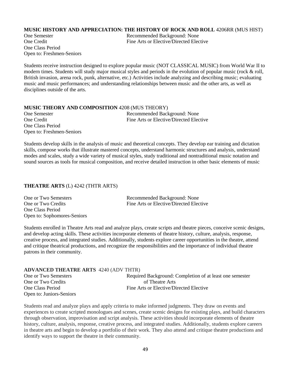### **MUSIC HISTORY AND APPRECIATION: THE HISTORY OF ROCK AND ROLL** 4206RR (MUS HIST)

One Class Period Open to: Freshmen-Seniors

One Semester Recommended Background: None One Credit Fine Arts or Elective/Directed Elective

Students receive instruction designed to explore popular music (NOT CLASSICAL MUSIC) from World War II to modern times. Students will study major musical styles and periods in the evolution of popular music (rock & roll, British invasion, arena rock, punk, alternative, etc.) Activities include analyzing and describing music; evaluating music and music performances; and understanding relationships between music and the other arts, as well as disciplines outside of the arts.

#### **MUSIC THEORY AND COMPOSITION** 4208 (MUS THEORY)

| <b>One Semester</b>       | Recommended Background: None            |
|---------------------------|-----------------------------------------|
| One Credit                | Fine Arts or Elective/Directed Elective |
| One Class Period          |                                         |
| Open to: Freshmen-Seniors |                                         |

Students develop skills in the analysis of music and theoretical concepts. They develop ear training and dictation skills, compose works that illustrate mastered concepts, understand harmonic structures and analysis, understand modes and scales, study a wide variety of musical styles, study traditional and nontraditional music notation and sound sources as tools for musical composition, and receive detailed instruction in other basic elements of music

### **THEATRE ARTS** (L) 4242 (THTR ARTS)

| One or Two Semesters        | Recommended Background: None            |
|-----------------------------|-----------------------------------------|
| One or Two Credits          | Fine Arts or Elective/Directed Elective |
| One Class Period            |                                         |
| Open to: Sophomores-Seniors |                                         |

Students enrolled in Theatre Arts read and analyze plays, create scripts and theatre pieces, conceive scenic designs, and develop acting skills. These activities incorporate elements of theatre history, culture, analysis, response, creative process, and integrated studies. Additionally, students explore career opportunities in the theatre, attend and critique theatrical productions, and recognize the responsibilities and the importance of individual theatre patrons in their community.

### **ADVANCED THEATRE ARTS** 4240 (ADV THTR) One or Two Semesters Required Background: Completion of at least one semester One or Two Credits of Theatre Arts One Class Period Fine Arts or Elective/Directed Elective Open to: Juniors-Seniors

Students read and analyze plays and apply criteria to make informed judgments. They draw on events and experiences to create scripted monologues and scenes, create scenic designs for existing plays, and build characters through observation, improvisation and script analysis. These activities should incorporate elements of theatre history, culture, analysis, response, creative process, and integrated studies. Additionally, students explore careers in theatre arts and begin to develop a portfolio of their work. They also attend and critique theatre productions and identify ways to support the theatre in their community.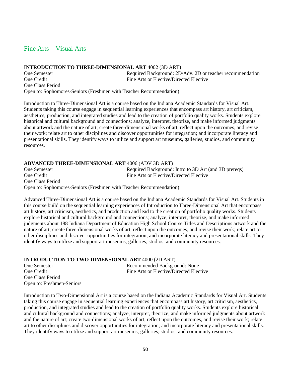### Fine Arts – Visual Arts

#### **INTRODUCTION TO THREE-DIMENSIONAL ART** 4002 (3D ART)

One Semester Required Background: 2D/Adv. 2D or teacher recommendation One Credit Fine Arts or Elective/Directed Elective One Class Period Open to: Sophomores-Seniors (Freshmen with Teacher Recommendation)

Introduction to Three-Dimensional Art is a course based on the Indiana Academic Standards for Visual Art. Students taking this course engage in sequential learning experiences that encompass art history, art criticism, aesthetics, production, and integrated studies and lead to the creation of portfolio quality works. Students explore historical and cultural background and connections; analyze, interpret, theorize, and make informed judgments about artwork and the nature of art; create three-dimensional works of art, reflect upon the outcomes, and revise their work; relate art to other disciplines and discover opportunities for integration; and incorporate literacy and presentational skills. They identify ways to utilize and support art museums, galleries, studios, and community resources.

### **ADVANCED THREE-DIMENSIONAL ART** 4006 (ADV 3D ART)

One Semester Required Background: Intro to 3D Art (and 3D prereqs) One Credit Fine Arts or Elective/Directed Elective One Class Period Open to: Sophomores-Seniors (Freshmen with Teacher Recommendation)

Advanced Three-Dimensional Art is a course based on the Indiana Academic Standards for Visual Art. Students in this course build on the sequential learning experiences of Introduction to Three-Dimensional Art that encompass art history, art criticism, aesthetics, and production and lead to the creation of portfolio quality works. Students explore historical and cultural background and connections; analyze, interpret, theorize, and make informed judgments about 188 Indiana Department of Education High School Course Titles and Descriptions artwork and the nature of art; create three-dimensional works of art, reflect upon the outcomes, and revise their work; relate art to other disciplines and discover opportunities for integration; and incorporate literacy and presentational skills. They identify ways to utilize and support art museums, galleries, studios, and community resources.

**INTRODUCTION TO TWO-DIMENSIONAL ART** 4000 (2D ART) One Semester Recommended Background: None One Credit Fine Arts or Elective/Directed Elective One Class Period Open to: Freshmen-Seniors

Introduction to Two-Dimensional Art is a course based on the Indiana Academic Standards for Visual Art. Students taking this course engage in sequential learning experiences that encompass art history, art criticism, aesthetics, production, and integrated studies and lead to the creation of portfolio quality works. Students explore historical and cultural background and connections; analyze, interpret, theorize, and make informed judgments about artwork and the nature of art; create two-dimensional works of art, reflect upon the outcomes, and revise their work; relate art to other disciplines and discover opportunities for integration; and incorporate literacy and presentational skills. They identify ways to utilize and support art museums, galleries, studios, and community resources.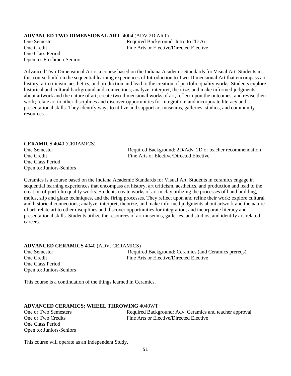### **ADVANCED TWO-DIMENSIONAL ART** 4004 (ADV 2D ART)

One Class Period Open to: Freshmen-Seniors

One Semester Required Background: Intro to 2D Art One Credit Fine Arts or Elective/Directed Elective

Advanced Two-Dimensional Art is a course based on the Indiana Academic Standards for Visual Art. Students in this course build on the sequential learning experiences of Introduction to Two-Dimensional Art that encompass art history, art criticism, aesthetics, and production and lead to the creation of portfolio quality works. Students explore historical and cultural background and connections; analyze, interpret, theorize, and make informed judgments about artwork and the nature of art; create two-dimensional works of art, reflect upon the outcomes, and revise their work; relate art to other disciplines and discover opportunities for integration; and incorporate literacy and presentational skills. They identify ways to utilize and support art museums, galleries, studios, and community resources.

# **CERAMICS** 4040 (CERAMICS) One Class Period Open to: Juniors-Seniors

One Semester Required Background: 2D/Adv. 2D or teacher recommendation One Credit Fine Arts or Elective/Directed Elective

Ceramics is a course based on the Indiana Academic Standards for Visual Art. Students in ceramics engage in sequential learning experiences that encompass art history, art criticism, aesthetics, and production and lead to the creation of portfolio quality works. Students create works of art in clay utilizing the processes of hand building, molds, slip and glaze techniques, and the firing processes. They reflect upon and refine their work; explore cultural and historical connections; analyze, interpret, theorize, and make informed judgments about artwork and the nature of art; relate art to other disciplines and discover opportunities for integration; and incorporate literacy and presentational skills. Students utilize the resources of art museums, galleries, and studios, and identify art-related careers.

#### **ADVANCED CERAMICS** 4040 (ADV. CERAMICS)

One Class Period Open to: Juniors-Seniors

One Semester Required Background: Ceramics (and Ceramics prereqs) One Credit Fine Arts or Elective/Directed Elective

This course is a continuation of the things learned in Ceramics.

#### **ADVANCED CERAMICS: WHEEL THROWING** 4040WT

One Class Period Open to: Juniors-Seniors

One or Two Semesters Required Background: Adv. Ceramics and teacher approval One or Two Credits Fine Arts or Elective/Directed Elective

This course will operate as an Independent Study.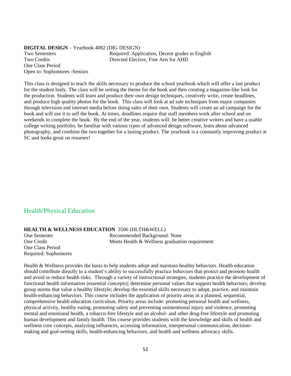### **DIGITAL DESIGN** – Yearbook 4082 (DIG DESIGN) Two Semesters Required: Application, Decent grades in English Two Credits Directed Elective, Fine Arts for AHD One Class Period Open to: Sophomores -Seniors

This class is designed to teach the skills necessary to produce the school yearbook which will offer a last product for the student body. The class will be setting the theme for the book and then creating a magazine-like look for the production. Students will learn and produce their own design techniques, creatively write, create headlines, and produce high quality photos for the book. This class will look at ad sale techniques from major companies through television and internet media before doing sales of their own. Students will create an ad campaign for the book and will use it to sell the book. At times, deadlines require that staff members work after school and on weekends to complete the book. By the end of the year, students will: be better creative writers and have a usable college writing portfolio, be familiar with various types of advanced design software, learn about advanced photography, and combine the two together for a lasting product. The yearbook is a constantly improving product at SC and looks great on resumes!

### Health/Physical Education

### **HEALTH & WELLNESS EDUCATION** 3506 (HLTH&WELL)

One Class Period Required: Sophomores

One Semester Recommended Background: None<br>
One Credit Recommended Background: None<br>
Meets Health & Wellness graduation Meets Health & Wellness graduation requirement

Health & Wellness provides the basis to help students adopt and maintain healthy behaviors. Health education should contribute directly to a student's ability to successfully practice behaviors that protect and promote health and avoid or reduce health risks. Through a variety of instructional strategies, students practice the development of functional health information (essential concepts); determine personal values that support health behaviors; develop group norms that value a healthy lifestyle; develop the essential skills necessary to adopt, practice, and maintain health-enhancing behaviors. This course includes the application of priority areas in a planned, sequential, comprehensive health education curriculum. Priority areas include: promoting personal health and wellness, physical activity, healthy eating, promoting safety and preventing unintentional injury and violence, promoting mental and emotional health, a tobacco-free lifestyle and an alcohol- and other drug-free lifestyle and promoting human development and family health. This course provides students with the knowledge and skills of health and wellness core concepts, analyzing influences, accessing information, interpersonal communication, decisionmaking and goal-setting skills, health-enhancing behaviors, and health and wellness advocacy skills.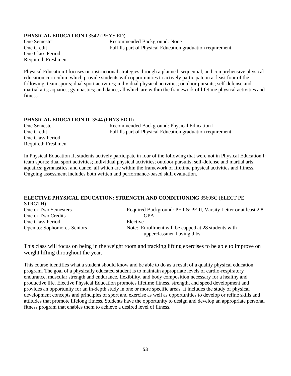### **PHYSICAL EDUCATION** I 3542 (PHYS ED)

One Class Period Required: Freshmen

One Semester Recommended Background: None One Credit Fulfills part of Physical Education graduation requirement

Physical Education I focuses on instructional strategies through a planned, sequential, and comprehensive physical education curriculum which provide students with opportunities to actively participate in at least four of the following: team sports; dual sport activities; individual physical activities; outdoor pursuits; self-defense and martial arts; aquatics; gymnastics; and dance, all which are within the framework of lifetime physical activities and fitness.

### **PHYSICAL EDUCATION II** 3544 (PHYS ED II)

One Class Period Required: Freshmen

One Semester Recommended Background: Physical Education I One Credit Fulfills part of Physical Education graduation requirement

In Physical Education II, students actively participate in four of the following that were not in Physical Education I: team sports; dual sport activities; individual physical activities; outdoor pursuits; self-defense and martial arts; aquatics; gymnastics; and dance, all which are within the framework of lifetime physical activities and fitness. Ongoing assessment includes both written and performance-based skill evaluation.

### **ELECTIVE PHYSICAL EDUCATION: STRENGTH AND CONDITIONING** 3560SC (ELECT PE STRGTH)

One or Two Semesters Required Background: PE I & PE II, Varsity Letter or at least 2.8 One or Two Credits GPA One Class Period Elective Open to: Sophomores-Seniors Note: Enrollment will be capped at 28 students with upperclassmen having dibs

This class will focus on being in the weight room and tracking lifting exercises to be able to improve on weight lifting throughout the year.

This course identifies what a student should know and be able to do as a result of a quality physical education program. The goal of a physically educated student is to maintain appropriate levels of cardio-respiratory endurance, muscular strength and endurance, flexibility, and body composition necessary for a healthy and productive life. Elective Physical Education promotes lifetime fitness, strength, and speed development and provides an opportunity for an in-depth study in one or more specific areas. It includes the study of physical development concepts and principles of sport and exercise as well as opportunities to develop or refine skills and attitudes that promote lifelong fitness. Students have the opportunity to design and develop an appropriate personal fitness program that enables them to achieve a desired level of fitness.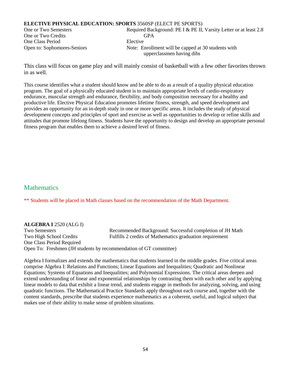### **ELECTIVE PHYSICAL EDUCATION: SPORTS** 3560SP (ELECT PE SPORTS)

One or Two Credits GPA One Class Period Elective

One or Two Semesters Required Background: PE I & PE II, Varsity Letter or at least 2.8 Open to: Sophomores-Seniors Note: Enrollment will be capped at 30 students with upperclassmen having dibs

This class will focus on game play and will mainly consist of basketball with a few other favorites thrown in as well.

This course identifies what a student should know and be able to do as a result of a quality physical education program. The goal of a physically educated student is to maintain appropriate levels of cardio-respiratory endurance, muscular strength and endurance, flexibility, and body composition necessary for a healthy and productive life. Elective Physical Education promotes lifetime fitness, strength, and speed development and provides an opportunity for an in-depth study in one or more specific areas. It includes the study of physical development concepts and principles of sport and exercise as well as opportunities to develop or refine skills and attitudes that promote lifelong fitness. Students have the opportunity to design and develop an appropriate personal fitness program that enables them to achieve a desired level of fitness.

### **Mathematics**

\*\* Students will be placed in Math classes based on the recommendation of the Math Department.

| <b>ALGEBRA I 2520 (ALG I)</b> |                                                                   |
|-------------------------------|-------------------------------------------------------------------|
| Two Semesters                 | Recommended Background: Successful completion of JH Math          |
| Two High School Credits       | Fulfills 2 credits of Mathematics graduation requirement          |
| One Class Period Required     |                                                                   |
|                               | Open To: Freshmen (JH students by recommendation of GT committee) |

Algebra I formalizes and extends the mathematics that students learned in the middle grades. Five critical areas comprise Algebra I: Relations and Functions; Linear Equations and Inequalities; Quadratic and Nonlinear Equations; Systems of Equations and Inequalities; and Polynomial Expressions. The critical areas deepen and extend understanding of linear and exponential relationships by contrasting them with each other and by applying linear models to data that exhibit a linear trend, and students engage in methods for analyzing, solving, and using quadratic functions. The Mathematical Practice Standards apply throughout each course and, together with the content standards, prescribe that students experience mathematics as a coherent, useful, and logical subject that makes use of their ability to make sense of problem situations.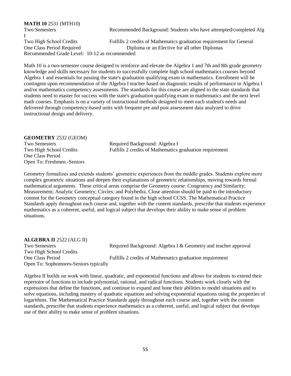| Recommended Background: Students who have attempted/completed Alg    |
|----------------------------------------------------------------------|
|                                                                      |
| Fulfills 2 credits of Mathematics graduation requirement for General |
|                                                                      |
|                                                                      |
|                                                                      |

Math 10 is a two-semester course designed to reinforce and elevate the Algebra 1 and 7th and 8th grade geometry knowledge and skills necessary for students to successfully complete high school mathematics courses beyond Algebra 1 and essentials for passing the state's graduation qualifying exam in mathematics. Enrollment will be contingent upon recommendation of the Algebra I teacher based on diagnostic results of performance in Algebra I and/or mathematics competency assessments. The standards for this course are aligned to the state standards that students need to master for success with the state's graduation qualifying exam in mathematics and the next level math courses. Emphasis is on a variety of instructional methods designed to meet each student's needs and delivered through competency-based units with frequent pre and post assessment data analyzed to drive instructional design and delivery.

### **GEOMETRY** 2532 (GEOM)

One Class Period Open To: Freshmen.-Seniors

Two Semesters Required Background: Algebra I Two High School Credits Fulfills 2 credits of Mathematics graduation requirement

Geometry formalizes and extends students' geometric experiences from the middle grades. Students explore more complex geometric situations and deepen their explanations of geometric relationships, moving towards formal mathematical arguments. These critical areas comprise the Geometry course: Congruency and Similarity; Measurement; Analytic Geometry; Circles; and Polyhedra. Close attention should be paid to the introductory content for the Geometry conceptual category found in the high school CCSS. The Mathematical Practice Standards apply throughout each course and, together with the content standards, prescribe that students experience mathematics as a coherent, useful, and logical subject that develops their ability to make sense of problem situations.

### **ALGEBRA II** 2522 (ALG II)

Two Semesters Required Background: Algebra I & Geometry and teacher approval Two High School Credits One Class Period Fulfills 2 credits of Mathematics graduation requirement Open To: Sophomores-Seniors typically

Algebra II builds on work with linear, quadratic, and exponential functions and allows for students to extend their repertoire of functions to include polynomial, rational, and radical functions. Students work closely with the expressions that define the functions, and continue to expand and hone their abilities to model situations and to solve equations, including mastery of quadratic equations and solving exponential equations using the properties of logarithms. The Mathematical Practice Standards apply throughout each course and, together with the content standards, prescribe that students experience mathematics as a coherent, useful, and logical subject that develops use of their ability to make sense of problem situations.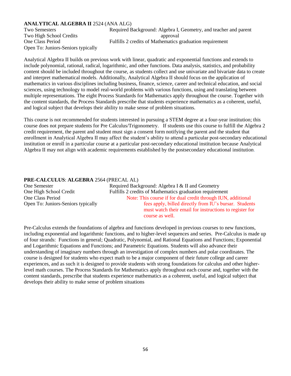### **ANALYTICAL ALGEBRA II** 2524 (ANA ALG)

Two High School Credits approval Open To: Juniors-Seniors typically

Two Semesters Required Background: Algebra I, Geometry, and teacher and parent One Class Period Fulfills 2 credits of Mathematics graduation requirement

Analytical Algebra II builds on previous work with linear, quadratic and exponential functions and extends to include polynomial, rational, radical, logarithmic, and other functions. Data analysis, statistics, and probability content should be included throughout the course, as students collect and use univariate and bivariate data to create and interpret mathematical models. Additionally, Analytical Algebra II should focus on the application of mathematics in various disciplines including business, finance, science, career and technical education, and social sciences, using technology to model real-world problems with various functions, using and translating between multiple representations. The eight Process Standards for Mathematics apply throughout the course. Together with the content standards, the Process Standards prescribe that students experience mathematics as a coherent, useful, and logical subject that develops their ability to make sense of problem situations.

This course is not recommended for students interested in pursuing a STEM degree at a four-year institution; this course does not prepare students for Pre Calculus/Trigonometry. If students use this course to fulfill the Algebra 2 credit requirement, the parent and student must sign a consent form notifying the parent and the student that enrollment in Analytical Algebra II may affect the student's ability to attend a particular post-secondary educational institution or enroll in a particular course at a particular post-secondary educational institution because Analytical Algebra II may not align with academic requirements established by the postsecondary educational institution.

### **PRE-CALCULUS**: **ALGEBRA** 2564 (PRECAL AL)

| One Semester                       | Required Background: Algebra I & II and Geometry                                                                                     |
|------------------------------------|--------------------------------------------------------------------------------------------------------------------------------------|
| One High School Credit             | Fulfills 2 credits of Mathematics graduation requirement                                                                             |
| One Class Period                   | Note: This course if for dual credit through IUN, additional                                                                         |
| Open To: Juniors-Seniors typically | fees apply, billed directly from IU's bursar. Students<br>must watch their email for instructions to register for<br>course as well. |

Pre-Calculus extends the foundations of algebra and functions developed in previous courses to new functions, including exponential and logarithmic functions, and to higher-level sequences and series. Pre-Calculus is made up of four strands: Functions in general; Quadratic, Polynomial, and Rational Equations and Functions; Exponential and Logarithmic Equations and Functions; and Parametric Equations. Students will also advance their understanding of imaginary numbers through an investigation of complex numbers and polar coordinates. The course is designed for students who expect math to be a major component of their future college and career experiences, and as such it is designed to provide students with strong foundations for calculus and other higherlevel math courses. The Process Standards for Mathematics apply throughout each course and, together with the content standards, prescribe that students experience mathematics as a coherent, useful, and logical subject that develops their ability to make sense of problem situations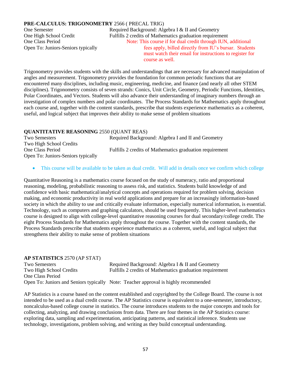### **PRE-CALCULUS: TRIGONOMETRY** 2566 ( PRECAL TRIG)

One Semester Required Background: Algebra I & II and Geometry One High School Credit Fulfills 2 credits of Mathematics graduation requirement One Class Period Note: This course if for dual credit through IUN, additional Open To: Juniors-Seniors typically fees apply, billed directly from IU's bursar. Students must watch their email for instructions to register for course as well.

Trigonometry provides students with the skills and understandings that are necessary for advanced manipulation of angles and measurement. Trigonometry provides the foundation for common periodic functions that are encountered many disciplines, including music, engineering, medicine, and finance (and nearly all other STEM disciplines). Trigonometry consists of seven strands: Conics, Unit Circle, Geometry, Periodic Functions, Identities, Polar Coordinates, and Vectors. Students will also advance their understanding of imaginary numbers through an investigation of complex numbers and polar coordinates. The Process Standards for Mathematics apply throughout each course and, together with the content standards, prescribe that students experience mathematics as a coherent, useful, and logical subject that improves their ability to make sense of problem situations

### **QUANTITATIVE REASONING** 2550 (QUANT REAS)

Two Semesters **Required Background: Algebra I and II and Geometry** Two High School Credits One Class Period Fulfills 2 credits of Mathematics graduation requirement Open To: Juniors-Seniors typically

• This course will be available to be taken as dual credit. Will add in details once we confirm which college

Quantitative Reasoning is a mathematics course focused on the study of numeracy, ratio and proportional reasoning, modeling, probabilistic reasoning to assess risk, and statistics. Students build knowledge of and confidence with basic mathematical/analytical concepts and operations required for problem solving, decision making, and economic productivity in real world applications and prepare for an increasingly information-based society in which the ability to use and critically evaluate information, especially numerical information, is essential. Technology, such as computers and graphing calculators, should be used frequently. This higher-level mathematics course is designed to align with college-level quantitative reasoning courses for dual secondary/college credit. The eight Process Standards for Mathematics apply throughout the course. Together with the content standards, the Process Standards prescribe that students experience mathematics as a coherent, useful, and logical subject that strengthens their ability to make sense of problem situations

| <b>AP STATISTICS</b> 2570 (AP STAT) |                                                                                     |
|-------------------------------------|-------------------------------------------------------------------------------------|
| Two Semesters                       | Required Background: Algebra I & II and Geometry                                    |
| Two High School Credits             | Fulfills 2 credits of Mathematics graduation requirement                            |
| One Class Period                    |                                                                                     |
|                                     | Open To: Juniors and Seniors typically Note: Teacher approval is highly recommended |

AP Statistics is a course based on the content established and copyrighted by the College Board. The course is not intended to be used as a dual credit course. The AP Statistics course is equivalent to a one-semester, introductory, noncalculus-based college course in statistics. The course introduces students to the major concepts and tools for collecting, analyzing, and drawing conclusions from data. There are four themes in the AP Statistics course: exploring data, sampling and experimentation, anticipating patterns, and statistical inference. Students use technology, investigations, problem solving, and writing as they build conceptual understanding.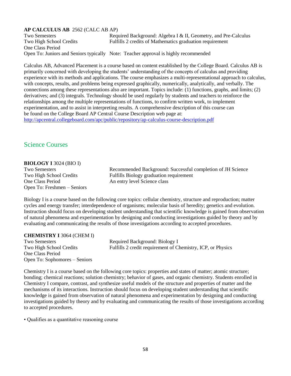### **AP CALCULUS AB** 2562 (CALC AB AP)

Two Semesters Required Background: Algebra I & II, Geometry, and Pre-Calculus Two High School Credits Fulfills 2 credits of Mathematics graduation requirement One Class Period Open To: Juniors and Seniors typically Note: Teacher approval is highly recommended

Calculus AB, Advanced Placement is a course based on content established by the College Board. Calculus AB is primarily concerned with developing the students' understanding of the concepts of calculus and providing experience with its methods and applications. The course emphasizes a multi-representational approach to calculus, with concepts, results, and problems being expressed graphically, numerically, analytically, and verbally. The connections among these representations also are important. Topics include: (1) functions, graphs, and limits; (2) derivatives; and (3) integrals. Technology should be used regularly by students and teachers to reinforce the relationships among the multiple representations of functions, to confirm written work, to implement experimentation, and to assist in interpreting results. A comprehensive description of this course can be found on the College Board AP Central Course Description web page at: <http://apcentral.collegeboard.com/apc/public/repository/ap-calculus-course-description.pdf>

### Science Courses

### **BIOLOGY I** 3024 (BIO I)

One Class Period An entry level Science class Open To: Freshmen – Seniors

Two Semesters Recommended Background: Successful completion of JH Science Two High School Credits Fulfills Biology graduation requirement

Biology I is a course based on the following core topics: cellular chemistry, structure and reproduction; matter cycles and energy transfer; interdependence of organisms; molecular basis of heredity; genetics and evolution. Instruction should focus on developing student understanding that scientific knowledge is gained from observation of natural phenomena and experimentation by designing and conducting investigations guided by theory and by evaluating and communicating the results of those investigations according to accepted procedures.

### **CHEMISTRY I** 3064 (CHEM I)

One Class Period Open To: Sophomores – Seniors

Two Semesters Required Background: Biology I Two High School Credits Fulfills 2 credit requirement of Chemistry, ICP, or Physics

Chemistry I is a course based on the following core topics: properties and states of matter; atomic structure; bonding; chemical reactions; solution chemistry; behavior of gases, and organic chemistry. Students enrolled in Chemistry I compare, contrast, and synthesize useful models of the structure and properties of matter and the mechanisms of its interactions. Instruction should focus on developing student understanding that scientific knowledge is gained from observation of natural phenomena and experimentation by designing and conducting investigations guided by theory and by evaluating and communicating the results of those investigations according to accepted procedures.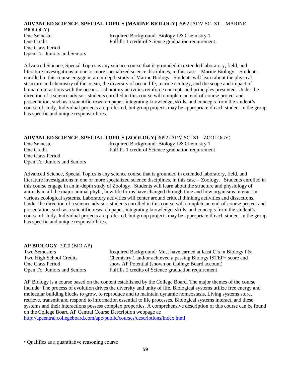### **ADVANCED SCIENCE, SPECIAL TOPICS (MARINE BIOLOGY)** 3092 (ADV SCI ST – MARINE

BIOLOGY) One Class Period Open To: Juniors and Seniors

One Semester Required Background: Biology I & Chemistry 1 One Credit Fulfills 1 credit of Science graduation requirement

Advanced Science, Special Topics is any science course that is grounded in extended laboratory, field, and literature investigations in one or more specialized science disciplines, in this case – Marine Biology. Students enrolled in this course engage in an in-depth study of Marine Biology. Students will learn about the physical structure and chemistry of the ocean, the diversity of ocean life, marine ecology, and the scope and impact of human interactions with the oceans. Laboratory activities reinforce concepts and principles presented. Under the direction of a science advisor, students enrolled in this course will complete an end-of-course project and presentation, such as a scientific research paper, integrating knowledge, skills, and concepts from the student's course of study. Individual projects are preferred, but group projects may be appropriate if each student in the group has specific and unique responsibilities.

### **ADVANCED SCIENCE, SPECIAL TOPICS (ZOOLOGY)** 3092 (ADV SCI ST - ZOOLOGY)

| One Semester                 | Required Background: Biology I & Chemistry 1        |
|------------------------------|-----------------------------------------------------|
| One Credit                   | Fulfills 1 credit of Science graduation requirement |
| One Class Period             |                                                     |
| Open To: Juniors and Seniors |                                                     |

Advanced Science, Special Topics is any science course that is grounded in extended laboratory, field, and literature investigations in one or more specialized science disciplines, in this case – Zoology. Students enrolled in this course engage in an in-depth study of Zoology. Students will learn about the structure and physiology of animals in all the major animal phyla, how life forms have changed through time and how organisms interact in various ecological systems. Laboratory activities will center around critical thinking activities and dissections. Under the direction of a science advisor, students enrolled in this course will complete an end-of-course project and presentation, such as a scientific research paper, integrating knowledge, skills, and concepts from the student's course of study. Individual projects are preferred, but group projects may be appropriate if each student in the group has specific and unique responsibilities.

### **AP BIOLOGY** 3020 (BIO AP)

Two Semesters **Required Background:** Must have earned at least C's in Biology I & Two High School Credits Chemistry 1 and/or achieved a passing Biology ISTEP+ score and One Class Period show AP Potential (shown on College Board account) Open To: Juniors and Seniors Fulfills 2 credits of Science graduation requirement

AP Biology is a course based on the content established by the College Board. The major themes of the course include: The process of evolution drives the diversity and unity of life, Biological systems utilize free energy and molecular building blocks to grow, to reproduce and to maintain dynamic homeostasis, Living systems store, retrieve, transmit and respond to information essential to life processes, Biological systems interact, and these systems and their interactions possess complex properties. A comprehensive description of this course can be found on the College Board AP Central Course Description webpage at:

<http://apcentral.collegeboard.com/apc/public/courses/descriptions/index.html>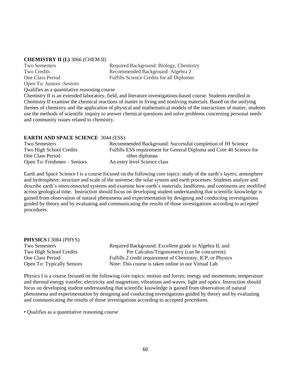#### **CHEMISTRY II (L)** 3066 (CHEM II)

Open To: Juniors -Seniors

Two Semesters Required Background: Biology, Chemistry Two Credits Recommended Background: Algebra 2 One Class Period Fulfills Science Credits for all Diplomas

Qualifies as a quantitative reasoning course Chemistry II is an extended laboratory, field, and literature investigations-based course. Students enrolled in Chemistry II examine the chemical reactions of matter in living and nonliving materials. Based on the unifying themes of chemistry and the application of physical and mathematical models of the interactions of matter, students use the methods of scientific inquiry to answer chemical questions and solve problems concerning personal needs and community issues related to chemistry.

### **EARTH AND SPACE SCIENCE** 3044 (ESS)

| <b>Two Semesters</b>        | Recommended Background: Successful completion of JH Science          |
|-----------------------------|----------------------------------------------------------------------|
| Two High School Credits     | Fulfills ESS requirement for General Diploma and Core 40 Science for |
| One Class Period            | other diplomas                                                       |
| Open To: Freshmen – Seniors | An entry level Science class                                         |

Earth and Space Science I is a course focused on the following core topics: study of the earth's layers; atmosphere and hydrosphere; structure and scale of the universe; the solar system and earth processes. Students analyze and describe earth's interconnected systems and examine how earth's materials, landforms, and continents are modified across geological time. Instruction should focus on developing student understanding that scientific knowledge is gained from observation of natural phenomena and experimentation by designing and conducting investigations guided by theory and by evaluating and communicating the results of those investigations according to accepted procedures.

| <b>PHYSICS</b> I 3084 (PHYS) |                                                             |
|------------------------------|-------------------------------------------------------------|
| <b>Two Semesters</b>         | Required Background: Excellent grade in Algebra II, and     |
| Two High School Credits      | Pre Calculus/Trigonometry (can be concurrent)               |
| One Class Period             | Fulfills 2 credit requirement of Chemistry, ICP, or Physics |
| Open To: Typically Seniors   | Note: This course is taken online in our Virtual Lab        |

Physics I is a course focused on the following core topics: motion and forces; energy and momentum; temperature and thermal energy transfer; electricity and magnetism; vibrations and waves; light and optics. Instruction should focus on developing student understanding that scientific knowledge is gained from observation of natural phenomena and experimentation by designing and conducting investigations guided by theory and by evaluating and communicating the results of those investigations according to accepted procedures.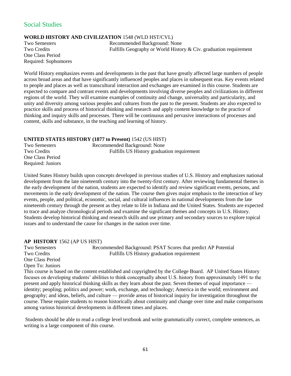### Social Studies

### **WORLD HISTORY AND CIVILIZATION** 1548 (WLD HST/CVL)

One Class Period Required: Sophomores

Two Semesters Recommended Background: None Two Credits Fulfills Geography or World History & Civ. graduation requirement

World History emphasizes events and developments in the past that have greatly affected large numbers of people across broad areas and that have significantly influenced peoples and places in subsequent eras. Key events related to people and places as well as transcultural interaction and exchanges are examined in this course. Students are expected to compare and contrast events and developments involving diverse peoples and civilizations in different regions of the world. They will examine examples of continuity and change, universality and particularity, and unity and diversity among various peoples and cultures from the past to the present. Students are also expected to practice skills and process of historical thinking and research and apply content knowledge to the practice of thinking and inquiry skills and processes. There will be continuous and pervasive interactions of processes and content, skills and substance, in the teaching and learning of history.

### **UNITED STATES HISTORY (1877 to Present)** 1542 (US HIST)

| <b>Two Semesters</b> | Recommended Background: None               |
|----------------------|--------------------------------------------|
| Two Credits          | Fulfills US History graduation requirement |
| One Class Period     |                                            |
| Required: Juniors    |                                            |

United States History builds upon concepts developed in previous studies of U.S. History and emphasizes national development from the late nineteenth century into the twenty-first century. After reviewing fundamental themes in the early development of the nation, students are expected to identify and review significant events, persons, and movements in the early development of the nation. The course then gives major emphasis to the interaction of key events, people, and political, economic, social, and cultural influences in national developments from the late nineteenth century through the present as they relate to life in Indiana and the United States. Students are expected to trace and analyze chronological periods and examine the significant themes and concepts in U.S. History. Students develop historical thinking and research skills and use primary and secondary sources to explore topical issues and to understand the cause for changes in the nation over time.

### **AP HISTORY** 1562 (AP US HIST)

Two Semesters Recommended Background: PSAT Scores that predict AP Potential Two Credits Fulfills US History graduation requirement One Class Period Open To: Juniors This course is based on the content established and copyrighted by the College Board. AP United States History focuses on developing students' abilities to think conceptually about U.S. history from approximately 1491 to the present and apply historical thinking skills as they learn about the past. Seven themes of equal importance identity; peopling; politics and power; work, exchange, and technology; America in the world; environment and geography; and ideas, beliefs, and culture — provide areas of historical inquiry for investigation throughout the course. These require students to reason historically about continuity and change over time and make comparisons among various historical developments in different times and places.

Students should be able to read a college level textbook and write grammatically correct, complete sentences, as writing is a large component of this course.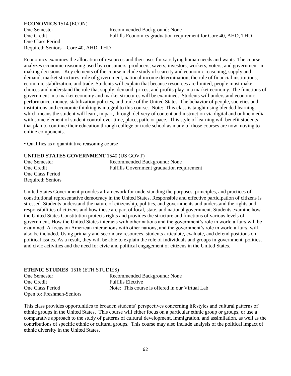#### **ECONOMICS** 1514 (ECON)

One Semester Recommended Background: None One Credit Fulfills Economics graduation requirement for Core 40, AHD, THD

One Class Period Required: Seniors – Core 40, AHD, THD

Economics examines the allocation of resources and their uses for satisfying human needs and wants. The course analyzes economic reasoning used by consumers, producers, savers, investors, workers, voters, and government in making decisions. Key elements of the course include study of scarcity and economic reasoning, supply and demand, market structures, role of government, national income determination, the role of financial institutions, economic stabilization, and trade. Students will explain that because resources are limited, people must make choices and understand the role that supply, demand, prices, and profits play in a market economy. The functions of government in a market economy and market structures will be examined. Students will understand economic performance, money, stabilization policies, and trade of the United States. The behavior of people, societies and institutions and economic thinking is integral to this course. Note: This class is taught using blended learning, which means the student will learn, in part, through delivery of content and instruction via digital and online media with some element of student control over time, place, path, or pace. This style of learning will benefit students that plan to continue their education through college or trade school as many of those courses are now moving to online components.

• Qualifies as a quantitative reasoning course

### **UNITED STATES GOVERNMENT** 1540 (US GOVT)

One Semester Recommended Background: None One Credit Fulfills Government graduation requirement One Class Period Required: Seniors

United States Government provides a framework for understanding the purposes, principles, and practices of constitutional representative democracy in the United States. Responsible and effective participation of citizens is stressed. Students understand the nature of citizenship, politics, and governments and understand the rights and responsibilities of citizens and how these are part of local, state, and national government. Students examine how the United States Constitution protects rights and provides the structure and functions of various levels of government. How the United States interacts with other nations and the government's role in world affairs will be examined. A focus on American interactions with other nations, and the government's role in world affairs, will also be included. Using primary and secondary resources, students articulate, evaluate, and defend positions on political issues. As a result, they will be able to explain the role of individuals and groups in government, politics, and civic activities and the need for civic and political engagement of citizens in the United States.

### **ETHNIC STUDIES** 1516 (ETH STUDIES)

| One Semester              | Recommended Background: None                    |
|---------------------------|-------------------------------------------------|
| One Credit                | <b>Fulfills Elective</b>                        |
| One Class Period          | Note: This course is offered in our Virtual Lab |
| Open to: Freshmen-Seniors |                                                 |

This class provides opportunities to broaden students' perspectives concerning lifestyles and cultural patterns of ethnic groups in the United States. This course will either focus on a particular ethnic group or groups, or use a comparative approach to the study of patterns of cultural development, immigration, and assimilation, as well as the contributions of specific ethnic or cultural groups. This course may also include analysis of the political impact of ethnic diversity in the United States.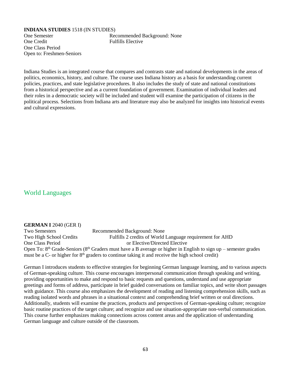#### **INDIANA STUDIES** 1518 (IN STUDIES)

One Credit Fulfills Elective One Class Period Open to: Freshmen-Seniors

One Semester Recommended Background: None

Indiana Studies is an integrated course that compares and contrasts state and national developments in the areas of politics, economics, history, and culture. The course uses Indiana history as a basis for understanding current policies, practices, and state legislative procedures. It also includes the study of state and national constitutions from a historical perspective and as a current foundation of government. Examination of individual leaders and their roles in a democratic society will be included and student will examine the participation of citizens in the political process. Selections from Indiana arts and literature may also be analyzed for insights into historical events and cultural expressions.

### World Languages

### **GERMAN I** 2040 (GER I)

Two Semesters Recommended Background: None Two High School Credits Fulfills 2 credits of World Language requirement for AHD One Class Period or Elective/Directed Elective Open To: 8<sup>th</sup> Grade-Seniors (8<sup>th</sup> Graders must have a B average or higher in English to sign up – semester grades must be a C- or higher for  $8<sup>th</sup>$  graders to continue taking it and receive the high school credit)

German I introduces students to effective strategies for beginning German language learning, and to various aspects of German-speaking culture. This course encourages interpersonal communication through speaking and writing, providing opportunities to make and respond to basic requests and questions, understand and use appropriate greetings and forms of address, participate in brief guided conversations on familiar topics, and write short passages with guidance. This course also emphasizes the development of reading and listening comprehension skills, such as reading isolated words and phrases in a situational context and comprehending brief written or oral directions. Additionally, students will examine the practices, products and perspectives of German-speaking culture; recognize basic routine practices of the target culture; and recognize and use situation-appropriate non-verbal communication. This course further emphasizes making connections across content areas and the application of understanding German language and culture outside of the classroom.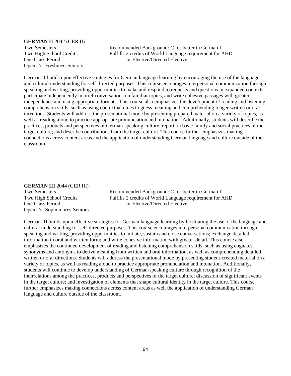**GERMAN II** 2042 (GER II) Open To: Freshmen-Seniors

Two Semesters Recommended Background: C- or better in German I Two High School Credits Fulfills 2 credits of World Language requirement for AHD One Class Period or Elective/Directed Elective

German II builds upon effective strategies for German language learning by encouraging the use of the language and cultural understanding for self-directed purposes. This course encourages interpersonal communication through speaking and writing, providing opportunities to make and respond to requests and questions in expanded contexts, participate independently in brief conversations on familiar topics, and write cohesive passages with greater independence and using appropriate formats. This course also emphasizes the development of reading and listening comprehension skills, such as using contextual clues to guess meaning and comprehending longer written or oral directions. Students will address the presentational mode by presenting prepared material on a variety of topics, as well as reading aloud to practice appropriate pronunciation and intonation. Additionally, students will describe the practices, products and perspectives of German-speaking culture; report on basic family and social practices of the target culture; and describe contributions from the target culture. This course further emphasizes making connections across content areas and the application of understanding German language and culture outside of the classroom.

#### **GERMAN III** 2044 (GER III)

Open To: Sophomores-Seniors

Two Semesters Recommended Background: C- or better in German II Two High School Credits Fulfills 2 credits of World Language requirement for AHD One Class Period or Elective/Directed Elective

German III builds upon effective strategies for German language learning by facilitating the use of the language and cultural understanding for self-directed purposes. This course encourages interpersonal communication through speaking and writing, providing opportunities to initiate, sustain and close conversations; exchange detailed information in oral and written form; and write cohesive information with greater detail. This course also emphasizes the continued development of reading and listening comprehension skills, such as using cognates, synonyms and antonyms to derive meaning from written and oral information, as well as comprehending detailed written or oral directions. Students will address the presentational mode by presenting student-created material on a variety of topics, as well as reading aloud to practice appropriate pronunciation and intonation. Additionally, students will continue to develop understanding of German-speaking culture through recognition of the interrelations among the practices, products and perspectives of the target culture; discussion of significant events in the target culture; and investigation of elements that shape cultural identity in the target culture. This course further emphasizes making connections across content areas as well the application of understanding German language and culture outside of the classroom.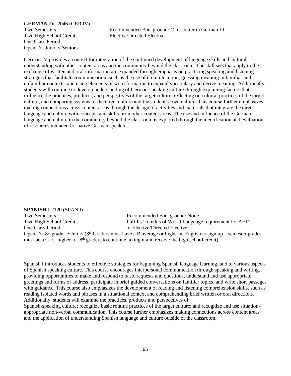### **GERMAN IV** 2046 (GER IV)

One Class Period Open To: Juniors-Seniors

Two Semesters Recommended Background: C- or better in German III Two High School Credits Elective/Directed Elective

German IV provides a context for integration of the continued development of language skills and cultural understanding with other content areas and the community beyond the classroom. The skill sets that apply to the exchange of written and oral information are expanded through emphasis on practicing speaking and listening strategies that facilitate communication, such as the use of circumlocution, guessing meaning in familiar and unfamiliar contexts, and using elements of word formation to expand vocabulary and derive meaning. Additionally, students will continue to develop understanding of German-speaking culture through explaining factors that influence the practices, products, and perspectives of the target culture; reflecting on cultural practices of the target culture; and comparing systems of the target culture and the student's own culture. This course further emphasizes making connections across content areas through the design of activities and materials that integrate the target language and culture with concepts and skills from other content areas. The use and influence of the German language and culture in the community beyond the classroom is explored through the identification and evaluation of resources intended for native German speakers.

### **SPANISH I** 2120 (SPAN I) Two Semesters Recommended Background: None Two High School Credits Fulfills 2 credits of World Language requirement for AHD One Class Period or Elective/Directed Elective Open To:  $8<sup>th</sup>$  grade - Seniors ( $8<sup>th</sup>$  Graders must have a B average or higher in English to sign up – semester grades must be a  $C$ - or higher for  $8<sup>th</sup>$  graders to continue taking it and receive the high school credit)

Spanish I introduces students to effective strategies for beginning Spanish language learning, and to various aspects of Spanish speaking culture. This course encourages interpersonal communication through speaking and writing, providing opportunities to make and respond to basic requests and questions, understand and use appropriate greetings and forms of address, participate in brief guided conversations on familiar topics, and write short passages with guidance. This course also emphasizes the development of reading and listening comprehension skills, such as reading isolated words and phrases in a situational context and comprehending brief written or oral directions. Additionally, students will examine the practices, products and perspectives of Spanish-speaking culture; recognize basic routine practices of the target culture; and recognize and use situation-

appropriate non-verbal communication. This course further emphasizes making connections across content areas and the application of understanding Spanish language and culture outside of the classroom.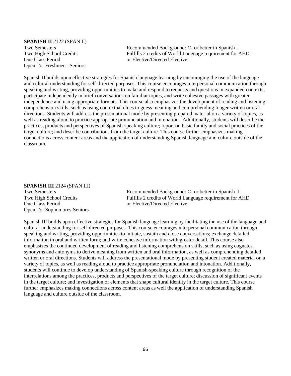## **SPANISH II** 2122 (SPAN II) One Class Period or Elective/Directed Elective Open To: Freshmen –Seniors

Two Semesters Recommended Background: C- or better in Spanish I Two High School Credits Fulfills 2 credits of World Language requirement for AHD

Spanish II builds upon effective strategies for Spanish language learning by encouraging the use of the language and cultural understanding for self-directed purposes. This course encourages interpersonal communication through speaking and writing, providing opportunities to make and respond to requests and questions in expanded contexts, participate independently in brief conversations on familiar topics, and write cohesive passages with greater independence and using appropriate formats. This course also emphasizes the development of reading and listening comprehension skills, such as using contextual clues to guess meaning and comprehending longer written or oral directions. Students will address the presentational mode by presenting prepared material on a variety of topics, as well as reading aloud to practice appropriate pronunciation and intonation. Additionally, students will describe the practices, products and perspectives of Spanish-speaking culture; report on basic family and social practices of the target culture; and describe contributions from the target culture. This course further emphasizes making connections across content areas and the application of understanding Spanish language and culture outside of the classroom.

### **SPANISH III** 2124 (SPAN III)

One Class Period or Elective/Directed Elective Open To: Sophomores-Seniors

Two Semesters **Recommended Background: C-** or better in Spanish II Two High School Credits Fulfills 2 credits of World Language requirement for AHD

Spanish III builds upon effective strategies for Spanish language learning by facilitating the use of the language and cultural understanding for self-directed purposes. This course encourages interpersonal communication through speaking and writing, providing opportunities to initiate, sustain and close conversations; exchange detailed information in oral and written form; and write cohesive information with greater detail. This course also emphasizes the continued development of reading and listening comprehension skills, such as using cognates, synonyms and antonyms to derive meaning from written and oral information, as well as comprehending detailed written or oral directions. Students will address the presentational mode by presenting student created material on a variety of topics, as well as reading aloud to practice appropriate pronunciation and intonation. Additionally, students will continue to develop understanding of Spanish-speaking culture through recognition of the interrelations among the practices, products and perspectives of the target culture; discussion of significant events in the target culture; and investigation of elements that shape cultural identity in the target culture. This course further emphasizes making connections across content areas as well the application of understanding Spanish language and culture outside of the classroom.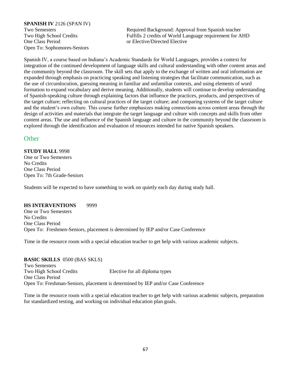### **SPANISH IV** 2126 (SPAN IV)

One Class Period or Elective/Directed Elective Open To: Sophomores-Seniors

Two Semesters Required Background: Approval from Spanish teacher Two High School Credits Fulfills 2 credits of World Language requirement for AHD

Spanish IV, a course based on Indiana's Academic Standards for World Languages, provides a context for integration of the continued development of language skills and cultural understanding with other content areas and the community beyond the classroom. The skill sets that apply to the exchange of written and oral information are expanded through emphasis on practicing speaking and listening strategies that facilitate communication, such as the use of circumlocution, guessing meaning in familiar and unfamiliar contexts, and using elements of word formation to expand vocabulary and derive meaning. Additionally, students will continue to develop understanding of Spanish-speaking culture through explaining factors that influence the practices, products, and perspectives of the target culture; reflecting on cultural practices of the target culture; and comparing systems of the target culture and the student's own culture. This course further emphasizes making connections across content areas through the design of activities and materials that integrate the target language and culture with concepts and skills from other content areas. The use and influence of the Spanish language and culture in the community beyond the classroom is explored through the identification and evaluation of resources intended for native Spanish speakers.

### **Other**

**STUDY HALL** 9998 One or Two Semesters No Credits One Class Period Open To: 7th Grade-Seniors

Students will be expected to have something to work on quietly each day during study hall.

### **HS INTERVENTIONS** 9999

One or Two Semesters No Credits One Class Period Open To: Freshmen-Seniors, placement is determined by IEP and/or Case Conference

Time in the resource room with a special education teacher to get help with various academic subjects.

**BASIC SKILLS** 0500 (BAS SKLS) Two Semesters Two High School Credits Elective for all diploma types One Class Period Open To: Freshman-Seniors, placement is determined by IEP and/or Case Conference

Time in the resource room with a special education teacher to get help with various academic subjects, preparation for standardized testing, and working on individual education plan goals.